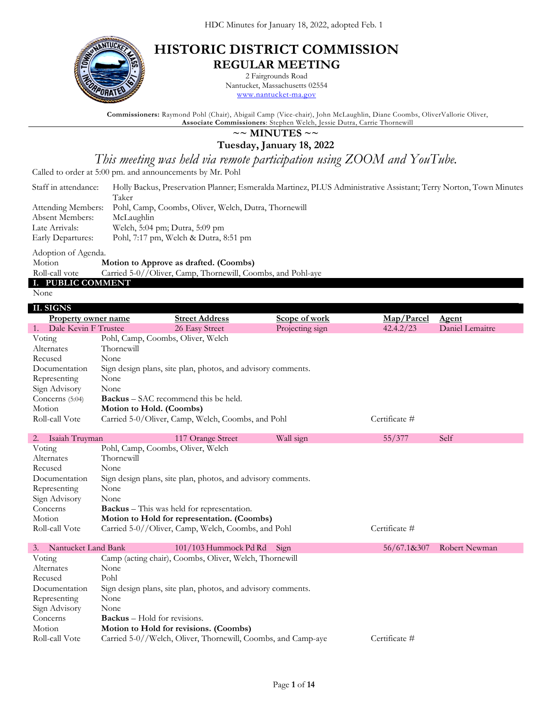

## **HISTORIC DISTRICT COMMISSION REGULAR MEETING**

2 Fairgrounds Road

Nantucket, Massachusetts 02554 [www.nantucket-ma.gov](http://www.nantucket-ma.gov/)

**Commissioners:** Raymond Pohl (Chair), Abigail Camp (Vice-chair), John McLaughlin, Diane Coombs, OliverVallorie Oliver, **Associate Commissioners**: Stephen Welch, Jessie Dutra, Carrie Thornewill

### **~~ MINUTES ~~**

**Tuesday, January 18, 2022**

*This meeting was held via remote participation using ZOOM and YouTube.*

Called to order at 5:00 pm. and announcements by Mr. Pohl

| Staff in attendance: | Holly Backus, Preservation Planner; Esmeralda Martinez, PLUS Administrative Assistant; Terry Norton, Town Minutes |
|----------------------|-------------------------------------------------------------------------------------------------------------------|
|                      | Taker                                                                                                             |
|                      | Attending Members: Pohl, Camp, Coombs, Oliver, Welch, Dutra, Thornewill                                           |
| Absent Members:      | McLaughlin                                                                                                        |
| Late Arrivals:       | Welch, 5:04 pm; Dutra, 5:09 pm                                                                                    |
| Early Departures:    | Pohl, 7:17 pm, Welch & Dutra, 8:51 pm                                                                             |

Adoption of Agenda.

Motion **Motion to Approve as drafted. (Coombs)**

Roll-call vote Carried 5-0//Oliver, Camp, Thornewill, Coombs, and Pohl-aye

# **I. PUBLIC COMMENT**

None

| II. SIGNS                 |                                     |                                                              |                 |               |                 |  |
|---------------------------|-------------------------------------|--------------------------------------------------------------|-----------------|---------------|-----------------|--|
| Property owner name       |                                     | <b>Street Address</b>                                        | Scope of work   | Map/Parcel    | Agent           |  |
| 1. Dale Kevin F Trustee   |                                     | 26 Easy Street                                               | Projecting sign | 42.4.2/23     | Daniel Lemaitre |  |
| Voting                    | Pohl, Camp, Coombs, Oliver, Welch   |                                                              |                 |               |                 |  |
| Alternates                | Thornewill                          |                                                              |                 |               |                 |  |
| Recused                   | None                                |                                                              |                 |               |                 |  |
| Documentation             |                                     | Sign design plans, site plan, photos, and advisory comments. |                 |               |                 |  |
| Representing              | None                                |                                                              |                 |               |                 |  |
| Sign Advisory             | None                                |                                                              |                 |               |                 |  |
| Concerns (5:04)           |                                     | <b>Backus</b> – SAC recommend this be held.                  |                 |               |                 |  |
| Motion                    | Motion to Hold. (Coombs)            |                                                              |                 |               |                 |  |
| Roll-call Vote            |                                     | Carried 5-0/Oliver, Camp, Welch, Coombs, and Pohl            |                 | Certificate # |                 |  |
|                           |                                     |                                                              |                 |               |                 |  |
| Isaiah Truyman<br>2.      |                                     | 117 Orange Street                                            | Wall sign       | 55/377        | Self            |  |
| Voting                    | Pohl, Camp, Coombs, Oliver, Welch   |                                                              |                 |               |                 |  |
| Alternates                | Thornewill                          |                                                              |                 |               |                 |  |
| Recused                   | None                                |                                                              |                 |               |                 |  |
| Documentation             |                                     | Sign design plans, site plan, photos, and advisory comments. |                 |               |                 |  |
| Representing              | None                                |                                                              |                 |               |                 |  |
| Sign Advisory             | None                                |                                                              |                 |               |                 |  |
| Concerns                  |                                     | <b>Backus</b> – This was held for representation.            |                 |               |                 |  |
| Motion                    |                                     | Motion to Hold for representation. (Coombs)                  |                 |               |                 |  |
| Roll-call Vote            |                                     | Carried 5-0//Oliver, Camp, Welch, Coombs, and Pohl           |                 | Certificate # |                 |  |
|                           |                                     |                                                              |                 |               |                 |  |
| Nantucket Land Bank<br>3. |                                     | 101/103 Hummock Pd Rd                                        | Sign            | 56/67.1&307   | Robert Newman   |  |
| Voting                    |                                     | Camp (acting chair), Coombs, Oliver, Welch, Thornewill       |                 |               |                 |  |
| Alternates                | None                                |                                                              |                 |               |                 |  |
| Recused                   | Pohl                                |                                                              |                 |               |                 |  |
| Documentation             |                                     | Sign design plans, site plan, photos, and advisory comments. |                 |               |                 |  |
| Representing              | None                                |                                                              |                 |               |                 |  |
| Sign Advisory             | None                                |                                                              |                 |               |                 |  |
| Concerns                  | <b>Backus</b> – Hold for revisions. |                                                              |                 |               |                 |  |
| Motion                    |                                     | Motion to Hold for revisions. (Coombs)                       |                 |               |                 |  |
| Roll-call Vote            |                                     | Carried 5-0//Welch, Oliver, Thornewill, Coombs, and Camp-aye |                 | Certificate # |                 |  |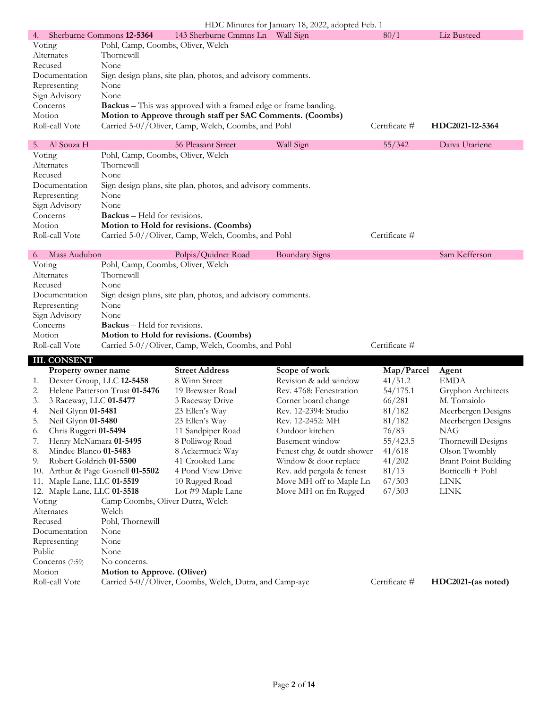| HDC Minutes for January 18, 2022, adopted Feb. 1 |                                                                        |               |                 |  |  |  |
|--------------------------------------------------|------------------------------------------------------------------------|---------------|-----------------|--|--|--|
| 4.                                               | 143 Sherburne Cmmns Ln<br>Wall Sign<br>Sherburne Commons 12-5364       | 80/1          | Liz Busteed     |  |  |  |
| Voting                                           | Pohl, Camp, Coombs, Oliver, Welch                                      |               |                 |  |  |  |
| Alternates                                       | Thornewill                                                             |               |                 |  |  |  |
| Recused                                          | None                                                                   |               |                 |  |  |  |
| Documentation                                    | Sign design plans, site plan, photos, and advisory comments.           |               |                 |  |  |  |
| Representing                                     | None                                                                   |               |                 |  |  |  |
| Sign Advisory                                    | None                                                                   |               |                 |  |  |  |
| Concerns                                         | <b>Backus</b> – This was approved with a framed edge or frame banding. |               |                 |  |  |  |
| Motion                                           | Motion to Approve through staff per SAC Comments. (Coombs)             |               |                 |  |  |  |
| Roll-call Vote                                   | Carried 5-0//Oliver, Camp, Welch, Coombs, and Pohl                     | Certificate # | HDC2021-12-5364 |  |  |  |
|                                                  |                                                                        |               |                 |  |  |  |

| 5. Al Souza H  | 56 Pleasant Street                                           | Wall Sign | 55/342        | Daiva Utariene |  |
|----------------|--------------------------------------------------------------|-----------|---------------|----------------|--|
| Voting         | Pohl, Camp, Coombs, Oliver, Welch                            |           |               |                |  |
| Alternates     | Thornewill                                                   |           |               |                |  |
| Recused        | None                                                         |           |               |                |  |
| Documentation  | Sign design plans, site plan, photos, and advisory comments. |           |               |                |  |
| Representing   | None                                                         |           |               |                |  |
| Sign Advisory  | None                                                         |           |               |                |  |
| Concerns       | <b>Backus</b> – Held for revisions.                          |           |               |                |  |
| Motion         | Motion to Hold for revisions. (Coombs)                       |           |               |                |  |
| Roll-call Vote | Carried 5-0//Oliver, Camp, Welch, Coombs, and Pohl           |           | Certificate # |                |  |

| 6. Mass Audubon | Polpis/Quidnet Road                                          | Boundary Signs | Sam Kefferson |
|-----------------|--------------------------------------------------------------|----------------|---------------|
| Voting          | Pohl, Camp, Coombs, Oliver, Welch                            |                |               |
| Alternates      | Thornewill                                                   |                |               |
| Recused         | None                                                         |                |               |
| Documentation   | Sign design plans, site plan, photos, and advisory comments. |                |               |
| Representing    | None                                                         |                |               |
| Sign Advisory   | None                                                         |                |               |
| Concerns        | <b>Backus</b> – Held for revisions.                          |                |               |
| Motion          | Motion to Hold for revisions. (Coombs)                       |                |               |
| Roll-call Vote  | Carried 5-0//Oliver, Camp, Welch, Coombs, and Pohl           |                | Certificate # |

**III. CONSENT**

|        | <b>Property owner name</b>  |                                  | <b>Street Address</b>                                   | Scope of work              | Map/Parcel    | <b>Agent</b>                |
|--------|-----------------------------|----------------------------------|---------------------------------------------------------|----------------------------|---------------|-----------------------------|
| 1.     |                             | Dexter Group, LLC 12-5458        | 8 Winn Street                                           | Revision & add window      | 41/51.2       | <b>EMDA</b>                 |
| 2.     |                             | Helene Patterson Trust 01-5476   | 19 Brewster Road                                        | Rev. 4768: Fenestration    | 54/175.1      | Gryphon Architects          |
| 3.     | 3 Raceway, LLC 01-5477      |                                  | 3 Raceway Drive                                         | Corner board change        | 66/281        | M. Tomaiolo                 |
| 4.     | Neil Glynn 01-5481          |                                  | 23 Ellen's Way                                          | Rev. 12-2394: Studio       | 81/182        | Meerbergen Designs          |
| 5.     | Neil Glynn 01-5480          |                                  | 23 Ellen's Way                                          | Rev. 12-2452: MH           | 81/182        | Meerbergen Designs          |
| 6.     | Chris Ruggeri 01-5494       |                                  | 11 Sandpiper Road                                       | Outdoor kitchen            | 76/83         | <b>NAG</b>                  |
|        | Henry McNamara 01-5495      |                                  | 8 Polliwog Road                                         | Basement window            | 55/423.5      | Thornewill Designs          |
| 8.     | Mindee Blanco 01-5483       |                                  | 8 Ackermuck Way                                         | Fenest chg. & outdr shower | 41/618        | Olson Twombly               |
| 9.     | Robert Goldrich 01-5500     |                                  | 41 Crooked Lane                                         | Window & door replace      | 41/202        | <b>Brant Point Building</b> |
| 10.    |                             | Arthur & Page Gosnell 01-5502    | 4 Pond View Drive                                       | Rev. add pergola & fenest  | 81/13         | Botticelli + Pohl           |
| 11.    | Maple Lane, LLC 01-5519     |                                  | 10 Rugged Road                                          | Move MH off to Maple Ln    | 67/303        | <b>LINK</b>                 |
|        | 12. Maple Lane, LLC 01-5518 |                                  | Lot #9 Maple Lane                                       | Move MH on fm Rugged       | 67/303        | <b>LINK</b>                 |
| Voting |                             | Camp Coombs, Oliver Dutra, Welch |                                                         |                            |               |                             |
|        | Alternates                  | Welch                            |                                                         |                            |               |                             |
|        | Recused                     | Pohl, Thornewill                 |                                                         |                            |               |                             |
|        | Documentation               | None                             |                                                         |                            |               |                             |
|        | Representing                | None                             |                                                         |                            |               |                             |
| Public |                             | None                             |                                                         |                            |               |                             |
|        | Concerns $(7:59)$           | No concerns.                     |                                                         |                            |               |                             |
|        | Motion                      | Motion to Approve. (Oliver)      |                                                         |                            |               |                             |
|        | Roll-call Vote              |                                  | Carried 5-0//Oliver, Coombs, Welch, Dutra, and Camp-aye |                            | Certificate # | HDC2021-(as noted)          |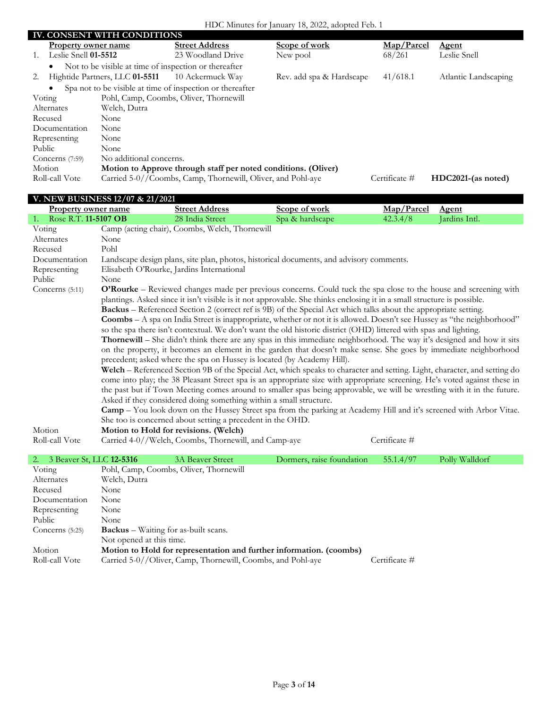|        | <b>IV. CONSENT WITH CONDITIONS</b> |                                |                                                                |                          |               |                      |
|--------|------------------------------------|--------------------------------|----------------------------------------------------------------|--------------------------|---------------|----------------------|
|        | Property owner name                |                                | <b>Street Address</b>                                          | Scope of work            | Map/Parcel    | <b>Agent</b>         |
| 1.     | Leslie Snell 01-5512               |                                | 23 Woodland Drive                                              | New pool                 | 68/261        | Leslie Snell         |
|        | $\bullet$                          |                                | Not to be visible at time of inspection or thereafter          |                          |               |                      |
| 2.     |                                    | Hightide Partners, LLC 01-5511 | 10 Ackermuck Way                                               | Rev. add spa & Hardscape | 41/618.1      | Atlantic Landscaping |
|        |                                    |                                | Spa not to be visible at time of inspection or thereafter      |                          |               |                      |
| Voting |                                    |                                | Pohl, Camp, Coombs, Oliver, Thornewill                         |                          |               |                      |
|        | Alternates                         | Welch, Dutra                   |                                                                |                          |               |                      |
|        | Recused                            | None                           |                                                                |                          |               |                      |
|        | Documentation                      | None                           |                                                                |                          |               |                      |
|        | Representing                       | None                           |                                                                |                          |               |                      |
| Public |                                    | None                           |                                                                |                          |               |                      |
|        | Concerns $(7:59)$                  | No additional concerns.        |                                                                |                          |               |                      |
|        | Motion                             |                                | Motion to Approve through staff per noted conditions. (Oliver) |                          |               |                      |
|        | Roll-call Vote                     |                                | Carried 5-0//Coombs, Camp, Thornewill, Oliver, and Pohl-aye    |                          | Certificate # | HDC2021-(as noted)   |
|        |                                    |                                |                                                                |                          |               |                      |

|                                | V. NEW BUSINESS 12/07 & 21/2021 |                                                                        |                                                                                                                                |               |                |  |
|--------------------------------|---------------------------------|------------------------------------------------------------------------|--------------------------------------------------------------------------------------------------------------------------------|---------------|----------------|--|
| Property owner name            |                                 | <b>Street Address</b>                                                  | Scope of work                                                                                                                  | Map/Parcel    | <b>Agent</b>   |  |
| 1. Rose R.T. 11-5107 OB        |                                 | 28 India Street                                                        | Spa & hardscape                                                                                                                | 42.3.4/8      | Jardins Intl.  |  |
| Voting                         |                                 | Camp (acting chair), Coombs, Welch, Thornewill                         |                                                                                                                                |               |                |  |
| Alternates                     | None                            |                                                                        |                                                                                                                                |               |                |  |
| Recused                        | Pohl                            |                                                                        |                                                                                                                                |               |                |  |
| Documentation                  |                                 |                                                                        | Landscape design plans, site plan, photos, historical documents, and advisory comments.                                        |               |                |  |
| Representing                   |                                 | Elisabeth O'Rourke, Jardins International                              |                                                                                                                                |               |                |  |
| Public                         | None                            |                                                                        |                                                                                                                                |               |                |  |
| Concerns $(5:11)$              |                                 |                                                                        | O'Rourke – Reviewed changes made per previous concerns. Could tuck the spa close to the house and screening with               |               |                |  |
|                                |                                 |                                                                        | plantings. Asked since it isn't visible is it not approvable. She thinks enclosing it in a small structure is possible.        |               |                |  |
|                                |                                 |                                                                        | <b>Backus</b> – Referenced Section 2 (correct ref is 9B) of the Special Act which talks about the appropriate setting.         |               |                |  |
|                                |                                 |                                                                        | <b>Coombs</b> – A spa on India Street is inappropriate, whether or not it is allowed. Doesn't see Hussey as "the neighborhood" |               |                |  |
|                                |                                 |                                                                        | so the spa there isn't contextual. We don't want the old historic district (OHD) littered with spas and lighting.              |               |                |  |
|                                |                                 |                                                                        | <b>Thornewill</b> – She didn't think there are any spas in this immediate neighborhood. The way it's designed and how it sits  |               |                |  |
|                                |                                 |                                                                        | on the property, it becomes an element in the garden that doesn't make sense. She goes by immediate neighborhood               |               |                |  |
|                                |                                 | precedent; asked where the spa on Hussey is located (by Academy Hill). |                                                                                                                                |               |                |  |
|                                |                                 |                                                                        | Welch - Referenced Section 9B of the Special Act, which speaks to character and setting. Light, character, and setting do      |               |                |  |
|                                |                                 |                                                                        | come into play; the 38 Pleasant Street spa is an appropriate size with appropriate screening. He's voted against these in      |               |                |  |
|                                |                                 |                                                                        | the past but if Town Meeting comes around to smaller spas being approvable, we will be wrestling with it in the future.        |               |                |  |
|                                |                                 | Asked if they considered doing something within a small structure.     |                                                                                                                                |               |                |  |
|                                |                                 |                                                                        | Camp - You look down on the Hussey Street spa from the parking at Academy Hill and it's screened with Arbor Vitae.             |               |                |  |
|                                |                                 | She too is concerned about setting a precedent in the OHD.             |                                                                                                                                |               |                |  |
| Motion                         |                                 | Motion to Hold for revisions. (Welch)                                  |                                                                                                                                |               |                |  |
| Roll-call Vote                 |                                 | Carried 4-0//Welch, Coombs, Thornewill, and Camp-aye                   |                                                                                                                                | Certificate # |                |  |
|                                |                                 |                                                                        |                                                                                                                                |               |                |  |
| 3 Beaver St, LLC 12-5316<br>2. |                                 | <b>3A Beaver Street</b>                                                | Dormers, raise foundation                                                                                                      | 55.1.4/97     | Polly Walldorf |  |
| Voting                         |                                 | Pohl, Camp, Coombs, Oliver, Thornewill                                 |                                                                                                                                |               |                |  |

Alternates Welch, Dutra<br>Recused None

Concerns (5:25) **Backus** – Waiting for as-built scans. Not opened at this time.

Motion **Motion to Hold for representation and further information. (coombs)**<br>Roll-call Vote Carried 5-0//Oliver, Camp, Thornewill, Coombs, and Pohl-aye

Carried 5-0//Oliver, Camp, Thornewill, Coombs, and Pohl-aye Certificate #

Documentation None Representing None Public None

Recused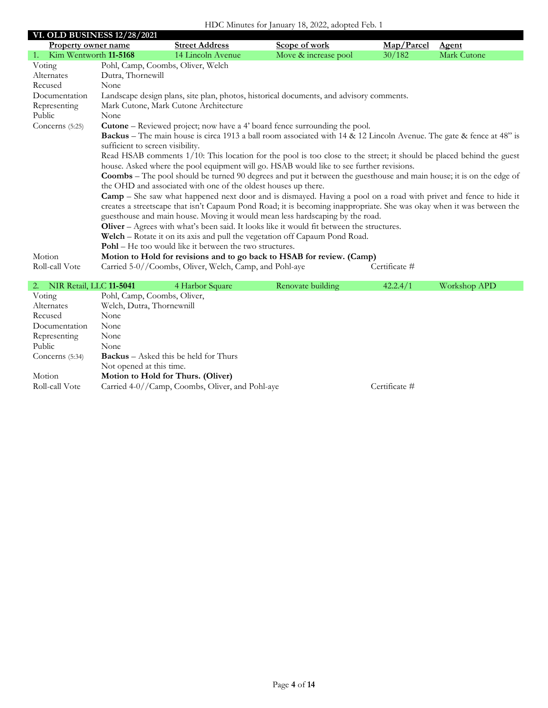### HDC Minutes for January 18, 2022, adopted Feb. 1

|                               | <b>VI. OLD BUSINESS 12/28/2021</b> |                                                                |                                                                                                                             |               |              |  |  |
|-------------------------------|------------------------------------|----------------------------------------------------------------|-----------------------------------------------------------------------------------------------------------------------------|---------------|--------------|--|--|
| <b>Property owner name</b>    |                                    | <b>Street Address</b>                                          | Scope of work                                                                                                               | Map/Parcel    | <b>Agent</b> |  |  |
| 1.<br>Kim Wentworth 11-5168   |                                    | 14 Lincoln Avenue                                              | Move & increase pool                                                                                                        | 30/182        | Mark Cutone  |  |  |
| Voting                        |                                    | Pohl, Camp, Coombs, Oliver, Welch                              |                                                                                                                             |               |              |  |  |
| Alternates                    | Dutra, Thornewill                  |                                                                |                                                                                                                             |               |              |  |  |
| Recused                       | None                               |                                                                |                                                                                                                             |               |              |  |  |
| Documentation                 |                                    |                                                                | Landscape design plans, site plan, photos, historical documents, and advisory comments.                                     |               |              |  |  |
| Representing                  |                                    | Mark Cutone, Mark Cutone Architecture                          |                                                                                                                             |               |              |  |  |
| Public                        | None                               |                                                                |                                                                                                                             |               |              |  |  |
| Concerns (5:25)               |                                    |                                                                | <b>Cutone</b> – Reviewed project; now have a 4' board fence surrounding the pool.                                           |               |              |  |  |
|                               |                                    |                                                                | Backus – The main house is circa 1913 a ball room associated with 14 & 12 Lincoln Avenue. The gate & fence at 48" is        |               |              |  |  |
|                               | sufficient to screen visibility.   |                                                                |                                                                                                                             |               |              |  |  |
|                               |                                    |                                                                | Read HSAB comments 1/10: This location for the pool is too close to the street; it should be placed behind the guest        |               |              |  |  |
|                               |                                    |                                                                | house. Asked where the pool equipment will go. HSAB would like to see further revisions.                                    |               |              |  |  |
|                               |                                    |                                                                | <b>Coombs</b> – The pool should be turned 90 degrees and put it between the guesthouse and main house; it is on the edge of |               |              |  |  |
|                               |                                    | the OHD and associated with one of the oldest houses up there. |                                                                                                                             |               |              |  |  |
|                               |                                    |                                                                | <b>Camp</b> – She saw what happened next door and is dismayed. Having a pool on a road with privet and fence to hide it     |               |              |  |  |
|                               |                                    |                                                                | creates a streetscape that isn't Capaum Pond Road; it is becoming inappropriate. She was okay when it was between the       |               |              |  |  |
|                               |                                    |                                                                | guesthouse and main house. Moving it would mean less hardscaping by the road.                                               |               |              |  |  |
|                               |                                    |                                                                | Oliver - Agrees with what's been said. It looks like it would fit between the structures.                                   |               |              |  |  |
|                               |                                    |                                                                | Welch - Rotate it on its axis and pull the vegetation off Capaum Pond Road.                                                 |               |              |  |  |
|                               |                                    | <b>Pohl</b> – He too would like it between the two structures. |                                                                                                                             |               |              |  |  |
| Motion                        |                                    |                                                                | Motion to Hold for revisions and to go back to HSAB for review. (Camp)                                                      |               |              |  |  |
| Roll-call Vote                |                                    | Carried 5-0//Coombs, Oliver, Welch, Camp, and Pohl-aye         |                                                                                                                             | Certificate # |              |  |  |
|                               |                                    |                                                                |                                                                                                                             |               |              |  |  |
| NIR Retail, LLC 11-5041<br>2. |                                    | 4 Harbor Square                                                | Renovate building                                                                                                           | 42.2.4/1      | Workshop APD |  |  |
| Voting                        | Pohl, Camp, Coombs, Oliver,        |                                                                |                                                                                                                             |               |              |  |  |
| Alternates                    | Welch, Dutra, Thornewnill          |                                                                |                                                                                                                             |               |              |  |  |
| Recused                       | None                               |                                                                |                                                                                                                             |               |              |  |  |
| Documentation                 | None                               |                                                                |                                                                                                                             |               |              |  |  |
|                               |                                    |                                                                |                                                                                                                             |               |              |  |  |

| Representing      | None                                            |               |
|-------------------|-------------------------------------------------|---------------|
| Public            | None.                                           |               |
| Concerns $(5:34)$ | <b>Backus</b> – Asked this be held for Thurs    |               |
|                   | Not opened at this time.                        |               |
| Motion            | Motion to Hold for Thurs. (Oliver)              |               |
| Roll-call Vote    | Carried 4-0//Camp, Coombs, Oliver, and Pohl-aye | Certificate # |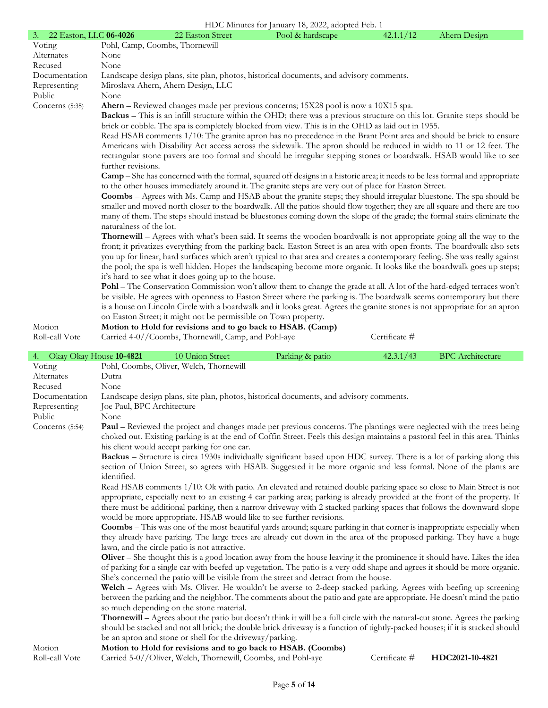|                              |                                               |                                                                 | HDC Minutes for January 18, 2022, adopted Feb. 1                                                                                                                                                                                                                                                                                                                                                                                                                                                                                                                                                                                                                                                                                                                                                                                                                                                                                                                                                                                                                                                                                                                                                                                                                                                                                                                                                                                                                                                                                                                                                                                                                                                                                                                                                                                                                                                                                                                                                                                                                                                                                                             |               |                         |
|------------------------------|-----------------------------------------------|-----------------------------------------------------------------|--------------------------------------------------------------------------------------------------------------------------------------------------------------------------------------------------------------------------------------------------------------------------------------------------------------------------------------------------------------------------------------------------------------------------------------------------------------------------------------------------------------------------------------------------------------------------------------------------------------------------------------------------------------------------------------------------------------------------------------------------------------------------------------------------------------------------------------------------------------------------------------------------------------------------------------------------------------------------------------------------------------------------------------------------------------------------------------------------------------------------------------------------------------------------------------------------------------------------------------------------------------------------------------------------------------------------------------------------------------------------------------------------------------------------------------------------------------------------------------------------------------------------------------------------------------------------------------------------------------------------------------------------------------------------------------------------------------------------------------------------------------------------------------------------------------------------------------------------------------------------------------------------------------------------------------------------------------------------------------------------------------------------------------------------------------------------------------------------------------------------------------------------------------|---------------|-------------------------|
| 22 Easton, LLC 06-4026<br>3. |                                               | 22 Easton Street                                                | Pool & hardscape                                                                                                                                                                                                                                                                                                                                                                                                                                                                                                                                                                                                                                                                                                                                                                                                                                                                                                                                                                                                                                                                                                                                                                                                                                                                                                                                                                                                                                                                                                                                                                                                                                                                                                                                                                                                                                                                                                                                                                                                                                                                                                                                             | 42.1.1/12     | Ahern Design            |
| Voting                       | Pohl, Camp, Coombs, Thornewill                |                                                                 |                                                                                                                                                                                                                                                                                                                                                                                                                                                                                                                                                                                                                                                                                                                                                                                                                                                                                                                                                                                                                                                                                                                                                                                                                                                                                                                                                                                                                                                                                                                                                                                                                                                                                                                                                                                                                                                                                                                                                                                                                                                                                                                                                              |               |                         |
| Alternates                   | None                                          |                                                                 |                                                                                                                                                                                                                                                                                                                                                                                                                                                                                                                                                                                                                                                                                                                                                                                                                                                                                                                                                                                                                                                                                                                                                                                                                                                                                                                                                                                                                                                                                                                                                                                                                                                                                                                                                                                                                                                                                                                                                                                                                                                                                                                                                              |               |                         |
| Recused                      | None                                          |                                                                 |                                                                                                                                                                                                                                                                                                                                                                                                                                                                                                                                                                                                                                                                                                                                                                                                                                                                                                                                                                                                                                                                                                                                                                                                                                                                                                                                                                                                                                                                                                                                                                                                                                                                                                                                                                                                                                                                                                                                                                                                                                                                                                                                                              |               |                         |
| Documentation                |                                               |                                                                 | Landscape design plans, site plan, photos, historical documents, and advisory comments.                                                                                                                                                                                                                                                                                                                                                                                                                                                                                                                                                                                                                                                                                                                                                                                                                                                                                                                                                                                                                                                                                                                                                                                                                                                                                                                                                                                                                                                                                                                                                                                                                                                                                                                                                                                                                                                                                                                                                                                                                                                                      |               |                         |
| Representing                 |                                               | Miroslava Ahern, Ahern Design, LLC                              |                                                                                                                                                                                                                                                                                                                                                                                                                                                                                                                                                                                                                                                                                                                                                                                                                                                                                                                                                                                                                                                                                                                                                                                                                                                                                                                                                                                                                                                                                                                                                                                                                                                                                                                                                                                                                                                                                                                                                                                                                                                                                                                                                              |               |                         |
| Public<br>Concerns (5:35)    | None                                          |                                                                 | Ahern – Reviewed changes made per previous concerns; 15X28 pool is now a 10X15 spa.                                                                                                                                                                                                                                                                                                                                                                                                                                                                                                                                                                                                                                                                                                                                                                                                                                                                                                                                                                                                                                                                                                                                                                                                                                                                                                                                                                                                                                                                                                                                                                                                                                                                                                                                                                                                                                                                                                                                                                                                                                                                          |               |                         |
|                              | further revisions.<br>naturalness of the lot. | it's hard to see what it does going up to the house.            | <b>Backus</b> – This is an infill structure within the OHD; there was a previous structure on this lot. Granite steps should be<br>brick or cobble. The spa is completely blocked from view. This is in the OHD as laid out in 1955.<br>Read HSAB comments 1/10: The granite apron has no precedence in the Brant Point area and should be brick to ensure<br>Americans with Disability Act access across the sidewalk. The apron should be reduced in width to 11 or 12 feet. The<br>rectangular stone pavers are too formal and should be irregular stepping stones or boardwalk. HSAB would like to see<br><b>Camp</b> – She has concerned with the formal, squared off designs in a historic area; it needs to be less formal and appropriate<br>to the other houses immediately around it. The granite steps are very out of place for Easton Street.<br><b>Coombs</b> - Agrees with Ms. Camp and HSAB about the granite steps; they should irregular bluestone. The spa should be<br>smaller and moved north closer to the boardwalk. All the patios should flow together; they are all square and there are too<br>many of them. The steps should instead be bluestones coming down the slope of the grade; the formal stairs eliminate the<br><b>Thornewill</b> – Agrees with what's been said. It seems the wooden boardwalk is not appropriate going all the way to the<br>front; it privatizes everything from the parking back. Easton Street is an area with open fronts. The boardwalk also sets<br>you up for linear, hard surfaces which aren't typical to that area and creates a contemporary feeling. She was really against<br>the pool; the spa is well hidden. Hopes the landscaping become more organic. It looks like the boardwalk goes up steps;<br>Pohl – The Conservation Commission won't allow them to change the grade at all. A lot of the hard-edged terraces won't<br>be visible. He agrees with openness to Easton Street where the parking is. The boardwalk seems contemporary but there<br>is a house on Lincoln Circle with a boardwalk and it looks great. Agrees the granite stones is not appropriate for an apron |               |                         |
|                              |                                               | on Easton Street; it might not be permissible on Town property. |                                                                                                                                                                                                                                                                                                                                                                                                                                                                                                                                                                                                                                                                                                                                                                                                                                                                                                                                                                                                                                                                                                                                                                                                                                                                                                                                                                                                                                                                                                                                                                                                                                                                                                                                                                                                                                                                                                                                                                                                                                                                                                                                                              |               |                         |
| Motion                       |                                               |                                                                 | Motion to Hold for revisions and to go back to HSAB. (Camp)                                                                                                                                                                                                                                                                                                                                                                                                                                                                                                                                                                                                                                                                                                                                                                                                                                                                                                                                                                                                                                                                                                                                                                                                                                                                                                                                                                                                                                                                                                                                                                                                                                                                                                                                                                                                                                                                                                                                                                                                                                                                                                  |               |                         |
| Roll-call Vote               |                                               | Carried 4-0//Coombs, Thornewill, Camp, and Pohl-aye             |                                                                                                                                                                                                                                                                                                                                                                                                                                                                                                                                                                                                                                                                                                                                                                                                                                                                                                                                                                                                                                                                                                                                                                                                                                                                                                                                                                                                                                                                                                                                                                                                                                                                                                                                                                                                                                                                                                                                                                                                                                                                                                                                                              | Certificate # |                         |
|                              |                                               |                                                                 |                                                                                                                                                                                                                                                                                                                                                                                                                                                                                                                                                                                                                                                                                                                                                                                                                                                                                                                                                                                                                                                                                                                                                                                                                                                                                                                                                                                                                                                                                                                                                                                                                                                                                                                                                                                                                                                                                                                                                                                                                                                                                                                                                              |               |                         |
|                              |                                               |                                                                 |                                                                                                                                                                                                                                                                                                                                                                                                                                                                                                                                                                                                                                                                                                                                                                                                                                                                                                                                                                                                                                                                                                                                                                                                                                                                                                                                                                                                                                                                                                                                                                                                                                                                                                                                                                                                                                                                                                                                                                                                                                                                                                                                                              |               |                         |
| 4. Okay Okay House 10-4821   |                                               | 10 Union Street                                                 | Parking & patio                                                                                                                                                                                                                                                                                                                                                                                                                                                                                                                                                                                                                                                                                                                                                                                                                                                                                                                                                                                                                                                                                                                                                                                                                                                                                                                                                                                                                                                                                                                                                                                                                                                                                                                                                                                                                                                                                                                                                                                                                                                                                                                                              | 42.3.1/43     | <b>BPC</b> Architecture |
| Voting                       |                                               | Pohl, Coombs, Oliver, Welch, Thornewill                         |                                                                                                                                                                                                                                                                                                                                                                                                                                                                                                                                                                                                                                                                                                                                                                                                                                                                                                                                                                                                                                                                                                                                                                                                                                                                                                                                                                                                                                                                                                                                                                                                                                                                                                                                                                                                                                                                                                                                                                                                                                                                                                                                                              |               |                         |
| Alternates                   | Dutra                                         |                                                                 |                                                                                                                                                                                                                                                                                                                                                                                                                                                                                                                                                                                                                                                                                                                                                                                                                                                                                                                                                                                                                                                                                                                                                                                                                                                                                                                                                                                                                                                                                                                                                                                                                                                                                                                                                                                                                                                                                                                                                                                                                                                                                                                                                              |               |                         |
| Recused                      | None                                          |                                                                 |                                                                                                                                                                                                                                                                                                                                                                                                                                                                                                                                                                                                                                                                                                                                                                                                                                                                                                                                                                                                                                                                                                                                                                                                                                                                                                                                                                                                                                                                                                                                                                                                                                                                                                                                                                                                                                                                                                                                                                                                                                                                                                                                                              |               |                         |
| Documentation                |                                               |                                                                 | Landscape design plans, site plan, photos, historical documents, and advisory comments.                                                                                                                                                                                                                                                                                                                                                                                                                                                                                                                                                                                                                                                                                                                                                                                                                                                                                                                                                                                                                                                                                                                                                                                                                                                                                                                                                                                                                                                                                                                                                                                                                                                                                                                                                                                                                                                                                                                                                                                                                                                                      |               |                         |
| Representing                 | Joe Paul, BPC Architecture                    |                                                                 |                                                                                                                                                                                                                                                                                                                                                                                                                                                                                                                                                                                                                                                                                                                                                                                                                                                                                                                                                                                                                                                                                                                                                                                                                                                                                                                                                                                                                                                                                                                                                                                                                                                                                                                                                                                                                                                                                                                                                                                                                                                                                                                                                              |               |                         |
| Public                       | None                                          |                                                                 |                                                                                                                                                                                                                                                                                                                                                                                                                                                                                                                                                                                                                                                                                                                                                                                                                                                                                                                                                                                                                                                                                                                                                                                                                                                                                                                                                                                                                                                                                                                                                                                                                                                                                                                                                                                                                                                                                                                                                                                                                                                                                                                                                              |               |                         |
| Concerns (5:54)              |                                               |                                                                 | <b>Paul</b> – Reviewed the project and changes made per previous concerns. The plantings were neglected with the trees being<br>choked out. Existing parking is at the end of Coffin Street. Feels this design maintains a pastoral feel in this area. Thinks                                                                                                                                                                                                                                                                                                                                                                                                                                                                                                                                                                                                                                                                                                                                                                                                                                                                                                                                                                                                                                                                                                                                                                                                                                                                                                                                                                                                                                                                                                                                                                                                                                                                                                                                                                                                                                                                                                |               |                         |
|                              |                                               | his client would accept parking for one car.                    |                                                                                                                                                                                                                                                                                                                                                                                                                                                                                                                                                                                                                                                                                                                                                                                                                                                                                                                                                                                                                                                                                                                                                                                                                                                                                                                                                                                                                                                                                                                                                                                                                                                                                                                                                                                                                                                                                                                                                                                                                                                                                                                                                              |               |                         |
|                              | identified.                                   |                                                                 | Backus – Structure is circa 1930s individually significant based upon HDC survey. There is a lot of parking along this<br>section of Union Street, so agrees with HSAB. Suggested it be more organic and less formal. None of the plants are                                                                                                                                                                                                                                                                                                                                                                                                                                                                                                                                                                                                                                                                                                                                                                                                                                                                                                                                                                                                                                                                                                                                                                                                                                                                                                                                                                                                                                                                                                                                                                                                                                                                                                                                                                                                                                                                                                                 |               |                         |
|                              |                                               |                                                                 | Read HSAB comments 1/10: Ok with patio. An elevated and retained double parking space so close to Main Street is not                                                                                                                                                                                                                                                                                                                                                                                                                                                                                                                                                                                                                                                                                                                                                                                                                                                                                                                                                                                                                                                                                                                                                                                                                                                                                                                                                                                                                                                                                                                                                                                                                                                                                                                                                                                                                                                                                                                                                                                                                                         |               |                         |
|                              |                                               |                                                                 | appropriate, especially next to an existing 4 car parking area; parking is already provided at the front of the property. If                                                                                                                                                                                                                                                                                                                                                                                                                                                                                                                                                                                                                                                                                                                                                                                                                                                                                                                                                                                                                                                                                                                                                                                                                                                                                                                                                                                                                                                                                                                                                                                                                                                                                                                                                                                                                                                                                                                                                                                                                                 |               |                         |
|                              |                                               |                                                                 | there must be additional parking, then a narrow driveway with 2 stacked parking spaces that follows the downward slope                                                                                                                                                                                                                                                                                                                                                                                                                                                                                                                                                                                                                                                                                                                                                                                                                                                                                                                                                                                                                                                                                                                                                                                                                                                                                                                                                                                                                                                                                                                                                                                                                                                                                                                                                                                                                                                                                                                                                                                                                                       |               |                         |
|                              |                                               |                                                                 | would be more appropriate. HSAB would like to see further revisions.                                                                                                                                                                                                                                                                                                                                                                                                                                                                                                                                                                                                                                                                                                                                                                                                                                                                                                                                                                                                                                                                                                                                                                                                                                                                                                                                                                                                                                                                                                                                                                                                                                                                                                                                                                                                                                                                                                                                                                                                                                                                                         |               |                         |
|                              |                                               |                                                                 | <b>Coombs</b> – This was one of the most beautiful yards around; square parking in that corner is inappropriate especially when                                                                                                                                                                                                                                                                                                                                                                                                                                                                                                                                                                                                                                                                                                                                                                                                                                                                                                                                                                                                                                                                                                                                                                                                                                                                                                                                                                                                                                                                                                                                                                                                                                                                                                                                                                                                                                                                                                                                                                                                                              |               |                         |
|                              |                                               |                                                                 | they already have parking. The large trees are already cut down in the area of the proposed parking. They have a huge                                                                                                                                                                                                                                                                                                                                                                                                                                                                                                                                                                                                                                                                                                                                                                                                                                                                                                                                                                                                                                                                                                                                                                                                                                                                                                                                                                                                                                                                                                                                                                                                                                                                                                                                                                                                                                                                                                                                                                                                                                        |               |                         |
|                              |                                               | lawn, and the circle patio is not attractive.                   |                                                                                                                                                                                                                                                                                                                                                                                                                                                                                                                                                                                                                                                                                                                                                                                                                                                                                                                                                                                                                                                                                                                                                                                                                                                                                                                                                                                                                                                                                                                                                                                                                                                                                                                                                                                                                                                                                                                                                                                                                                                                                                                                                              |               |                         |
|                              |                                               |                                                                 | Oliver – She thought this is a good location away from the house leaving it the prominence it should have. Likes the idea                                                                                                                                                                                                                                                                                                                                                                                                                                                                                                                                                                                                                                                                                                                                                                                                                                                                                                                                                                                                                                                                                                                                                                                                                                                                                                                                                                                                                                                                                                                                                                                                                                                                                                                                                                                                                                                                                                                                                                                                                                    |               |                         |
|                              |                                               |                                                                 | of parking for a single car with beefed up vegetation. The patio is a very odd shape and agrees it should be more organic.                                                                                                                                                                                                                                                                                                                                                                                                                                                                                                                                                                                                                                                                                                                                                                                                                                                                                                                                                                                                                                                                                                                                                                                                                                                                                                                                                                                                                                                                                                                                                                                                                                                                                                                                                                                                                                                                                                                                                                                                                                   |               |                         |
|                              |                                               |                                                                 | She's concerned the patio will be visible from the street and detract from the house.                                                                                                                                                                                                                                                                                                                                                                                                                                                                                                                                                                                                                                                                                                                                                                                                                                                                                                                                                                                                                                                                                                                                                                                                                                                                                                                                                                                                                                                                                                                                                                                                                                                                                                                                                                                                                                                                                                                                                                                                                                                                        |               |                         |
|                              |                                               |                                                                 | Welch - Agrees with Ms. Oliver. He wouldn't be averse to 2-deep stacked parking. Agrees with beefing up screening<br>between the parking and the neighbor. The comments about the patio and gate are appropriate. He doesn't mind the patio                                                                                                                                                                                                                                                                                                                                                                                                                                                                                                                                                                                                                                                                                                                                                                                                                                                                                                                                                                                                                                                                                                                                                                                                                                                                                                                                                                                                                                                                                                                                                                                                                                                                                                                                                                                                                                                                                                                  |               |                         |
|                              |                                               | so much depending on the stone material.                        |                                                                                                                                                                                                                                                                                                                                                                                                                                                                                                                                                                                                                                                                                                                                                                                                                                                                                                                                                                                                                                                                                                                                                                                                                                                                                                                                                                                                                                                                                                                                                                                                                                                                                                                                                                                                                                                                                                                                                                                                                                                                                                                                                              |               |                         |
|                              |                                               |                                                                 | <b>Thornewill</b> – Agrees about the patio but doesn't think it will be a full circle with the natural-cut stone. Agrees the parking                                                                                                                                                                                                                                                                                                                                                                                                                                                                                                                                                                                                                                                                                                                                                                                                                                                                                                                                                                                                                                                                                                                                                                                                                                                                                                                                                                                                                                                                                                                                                                                                                                                                                                                                                                                                                                                                                                                                                                                                                         |               |                         |
|                              |                                               | be an apron and stone or shell for the driveway/parking.        | should be stacked and not all brick; the double brick driveway is a function of tightly-packed houses; if it is stacked should                                                                                                                                                                                                                                                                                                                                                                                                                                                                                                                                                                                                                                                                                                                                                                                                                                                                                                                                                                                                                                                                                                                                                                                                                                                                                                                                                                                                                                                                                                                                                                                                                                                                                                                                                                                                                                                                                                                                                                                                                               |               |                         |

Roll-call Vote Carried 5-0//Oliver, Welch, Thornewill, Coombs, and Pohl-aye Certificate # **HDC2021-10-4821**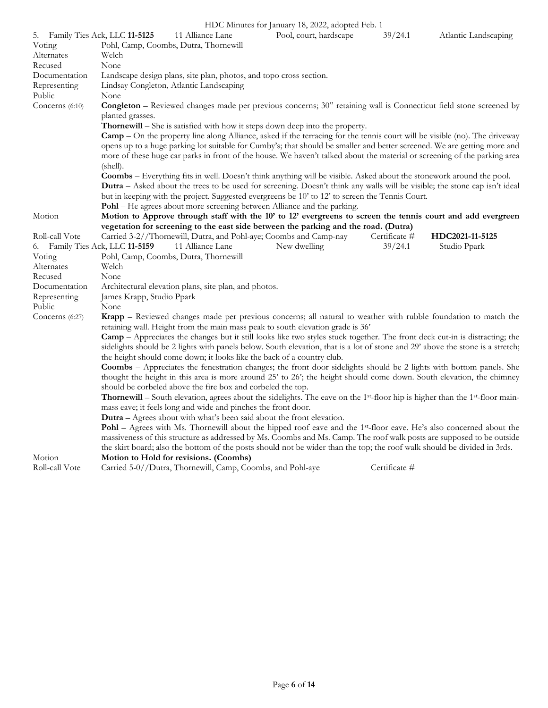| 5. Family Ties Ack, LLC 11-5125 | $\sim$ 1.211.000 101 $\mu$ ment <sub>1</sub><br>11 Alliance Lane                                                                                                                                  | Pool, court, hardscape | 39/24.1       | Atlantic Landscaping |  |  |  |
|---------------------------------|---------------------------------------------------------------------------------------------------------------------------------------------------------------------------------------------------|------------------------|---------------|----------------------|--|--|--|
| Voting                          | Pohl, Camp, Coombs, Dutra, Thornewill                                                                                                                                                             |                        |               |                      |  |  |  |
| Alternates                      | Welch                                                                                                                                                                                             |                        |               |                      |  |  |  |
| Recused                         | None                                                                                                                                                                                              |                        |               |                      |  |  |  |
| Documentation                   | Landscape design plans, site plan, photos, and topo cross section.                                                                                                                                |                        |               |                      |  |  |  |
| Representing                    | Lindsay Congleton, Atlantic Landscaping                                                                                                                                                           |                        |               |                      |  |  |  |
| Public                          | None                                                                                                                                                                                              |                        |               |                      |  |  |  |
| Concerns (6:10)                 | <b>Congleton</b> – Reviewed changes made per previous concerns; 30" retaining wall is Connecticut field stone screened by<br>planted grasses.                                                     |                        |               |                      |  |  |  |
|                                 | Thornewill – She is satisfied with how it steps down deep into the property.                                                                                                                      |                        |               |                      |  |  |  |
|                                 | <b>Camp</b> – On the property line along Alliance, asked if the terracing for the tennis court will be visible (no). The driveway                                                                 |                        |               |                      |  |  |  |
|                                 | opens up to a huge parking lot suitable for Cumby's; that should be smaller and better screened. We are getting more and                                                                          |                        |               |                      |  |  |  |
|                                 | more of these huge car parks in front of the house. We haven't talked about the material or screening of the parking area                                                                         |                        |               |                      |  |  |  |
|                                 | (shell).                                                                                                                                                                                          |                        |               |                      |  |  |  |
|                                 | Coombs – Everything fits in well. Doesn't think anything will be visible. Asked about the stonework around the pool.                                                                              |                        |               |                      |  |  |  |
|                                 | <b>Dutra</b> – Asked about the trees to be used for screening. Doesn't think any walls will be visible; the stone cap isn't ideal                                                                 |                        |               |                      |  |  |  |
|                                 | but in keeping with the project. Suggested evergreens be 10' to 12' to screen the Tennis Court.                                                                                                   |                        |               |                      |  |  |  |
|                                 | Pohl - He agrees about more screening between Alliance and the parking.                                                                                                                           |                        |               |                      |  |  |  |
| Motion                          | Motion to Approve through staff with the 10' to 12' evergreens to screen the tennis court and add evergreen                                                                                       |                        |               |                      |  |  |  |
|                                 | vegetation for screening to the east side between the parking and the road. (Dutra)                                                                                                               |                        |               |                      |  |  |  |
| Roll-call Vote                  | Carried 3-2//Thornewill, Dutra, and Pohl-aye; Coombs and Camp-nay                                                                                                                                 |                        | Certificate # | HDC2021-11-5125      |  |  |  |
| 6. Family Ties Ack, LLC 11-5159 | 11 Alliance Lane                                                                                                                                                                                  | New dwelling           | 39/24.1       | Studio Ppark         |  |  |  |
| Voting                          | Pohl, Camp, Coombs, Dutra, Thornewill                                                                                                                                                             |                        |               |                      |  |  |  |
| Alternates                      | Welch                                                                                                                                                                                             |                        |               |                      |  |  |  |
| Recused                         | None                                                                                                                                                                                              |                        |               |                      |  |  |  |
| Documentation                   | Architectural elevation plans, site plan, and photos.                                                                                                                                             |                        |               |                      |  |  |  |
| Representing                    | James Krapp, Studio Ppark                                                                                                                                                                         |                        |               |                      |  |  |  |
| Public                          | None                                                                                                                                                                                              |                        |               |                      |  |  |  |
| Concerns (6:27)                 | Krapp – Reviewed changes made per previous concerns; all natural to weather with rubble foundation to match the<br>retaining wall. Height from the main mass peak to south elevation grade is 36' |                        |               |                      |  |  |  |
|                                 | <b>Camp</b> – Appreciates the changes but it still looks like two styles stuck together. The front deck cut-in is distracting; the                                                                |                        |               |                      |  |  |  |
|                                 | sidelights should be 2 lights with panels below. South elevation, that is a lot of stone and 29' above the stone is a stretch;                                                                    |                        |               |                      |  |  |  |
|                                 | the height should come down; it looks like the back of a country club.                                                                                                                            |                        |               |                      |  |  |  |
|                                 | Coombs - Appreciates the fenestration changes; the front door sidelights should be 2 lights with bottom panels. She                                                                               |                        |               |                      |  |  |  |
|                                 | thought the height in this area is more around 25' to 26'; the height should come down. South elevation, the chimney                                                                              |                        |               |                      |  |  |  |
|                                 | should be corbeled above the fire box and corbeled the top.                                                                                                                                       |                        |               |                      |  |  |  |
|                                 | <b>Thornewill</b> – South elevation, agrees about the sidelights. The eave on the 1 <sup>st</sup> -floor hip is higher than the 1 <sup>st</sup> -floor main-                                      |                        |               |                      |  |  |  |
|                                 | mass eave; it feels long and wide and pinches the front door.                                                                                                                                     |                        |               |                      |  |  |  |
|                                 | <b>Dutra</b> – Agrees about with what's been said about the front elevation.                                                                                                                      |                        |               |                      |  |  |  |
|                                 | <b>Pohl</b> – Agrees with Ms. Thornewill about the hipped roof eave and the 1 <sup>st</sup> -floor eave. He's also concerned about the                                                            |                        |               |                      |  |  |  |
|                                 | massiveness of this structure as addressed by Ms. Coombs and Ms. Camp. The roof walk posts are supposed to be outside                                                                             |                        |               |                      |  |  |  |
|                                 | the skirt board; also the bottom of the posts should not be wider than the top; the roof walk should be divided in 3rds.                                                                          |                        |               |                      |  |  |  |
| Motion                          | Motion to Hold for revisions. (Coombs)                                                                                                                                                            |                        |               |                      |  |  |  |
| Roll-call Vote                  | Carried 5-0//Dutra, Thornewill, Camp, Coombs, and Pohl-aye                                                                                                                                        |                        | Certificate # |                      |  |  |  |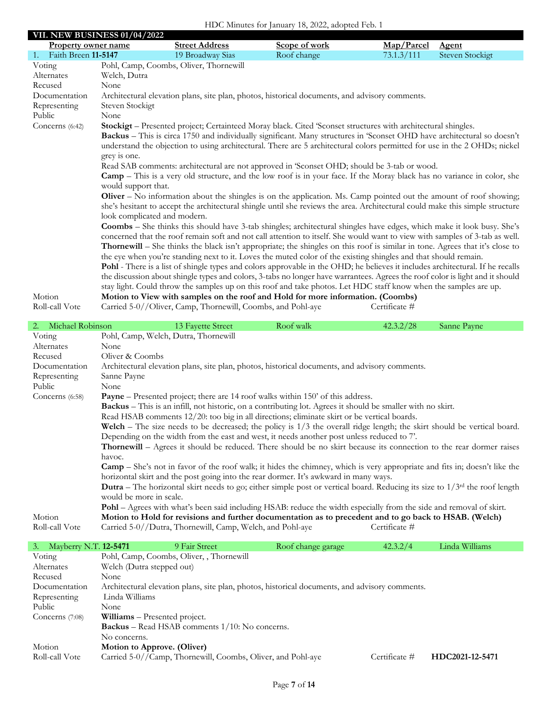|                           | <b>VII. NEW BUSINESS 01/04/2022</b> |                                                             |                                                                                                                                       |               |                 |
|---------------------------|-------------------------------------|-------------------------------------------------------------|---------------------------------------------------------------------------------------------------------------------------------------|---------------|-----------------|
| Property owner name       |                                     | <b>Street Address</b>                                       | Scope of work                                                                                                                         | Map/Parcel    | <b>Agent</b>    |
| Faith Breen 11-5147<br>1. |                                     | 19 Broadway Sias                                            | Roof change                                                                                                                           | 73.1.3/111    | Steven Stockigt |
| Voting                    |                                     | Pohl, Camp, Coombs, Oliver, Thornewill                      |                                                                                                                                       |               |                 |
| Alternates                | Welch, Dutra                        |                                                             |                                                                                                                                       |               |                 |
| Recused                   | None                                |                                                             |                                                                                                                                       |               |                 |
| Documentation             |                                     |                                                             | Architectural elevation plans, site plan, photos, historical documents, and advisory comments.                                        |               |                 |
| Representing              | Steven Stockigt                     |                                                             |                                                                                                                                       |               |                 |
| Public                    | None                                |                                                             |                                                                                                                                       |               |                 |
| Concerns (6:42)           |                                     |                                                             | Stockigt - Presented project; Certainteed Moray black. Cited 'Sconset structures with architectural shingles.                         |               |                 |
|                           |                                     |                                                             | Backus - This is circa 1750 and individually significant. Many structures in 'Sconset OHD have architectural so doesn't               |               |                 |
|                           |                                     |                                                             | understand the objection to using architectural. There are 5 architectural colors permitted for use in the 2 OHDs; nickel             |               |                 |
|                           | grey is one.                        |                                                             |                                                                                                                                       |               |                 |
|                           |                                     |                                                             | Read SAB comments: architectural are not approved in 'Sconset OHD; should be 3-tab or wood.                                           |               |                 |
|                           |                                     |                                                             | <b>Camp</b> – This is a very old structure, and the low roof is in your face. If the Moray black has no variance in color, she        |               |                 |
|                           | would support that.                 |                                                             |                                                                                                                                       |               |                 |
|                           |                                     |                                                             | Oliver - No information about the shingles is on the application. Ms. Camp pointed out the amount of roof showing;                    |               |                 |
|                           |                                     |                                                             | she's hesitant to accept the architectural shingle until she reviews the area. Architectural could make this simple structure         |               |                 |
|                           | look complicated and modern.        |                                                             |                                                                                                                                       |               |                 |
|                           |                                     |                                                             | <b>Coombs</b> – She thinks this should have 3-tab shingles; architectural shingles have edges, which make it look busy. She's         |               |                 |
|                           |                                     |                                                             | concerned that the roof remain soft and not call attention to itself. She would want to view with samples of 3-tab as well.           |               |                 |
|                           |                                     |                                                             | <b>Thornewill</b> – She thinks the black isn't appropriate; the shingles on this roof is similar in tone. Agrees that it's close to   |               |                 |
|                           |                                     |                                                             | the eye when you're standing next to it. Loves the muted color of the existing shingles and that should remain.                       |               |                 |
|                           |                                     |                                                             | <b>Pohl</b> - There is a list of shingle types and colors approvable in the OHD; he believes it includes architectural. If he recalls |               |                 |
|                           |                                     |                                                             | the discussion about shingle types and colors, 3-tabs no longer have warrantees. Agrees the roof color is light and it should         |               |                 |
|                           |                                     |                                                             | stay light. Could throw the samples up on this roof and take photos. Let HDC staff know when the samples are up.                      |               |                 |
| Motion                    |                                     |                                                             | Motion to View with samples on the roof and Hold for more information. (Coombs)                                                       |               |                 |
| Roll-call Vote            |                                     | Carried 5-0//Oliver, Camp, Thornewill, Coombs, and Pohl-aye |                                                                                                                                       | Certificate # |                 |

| 2. Michael Robinson |                         | 13 Fayette Street                                                                                                   | Roof walk | 42.3.2/28     | Sanne Payne                                                                                                                            |
|---------------------|-------------------------|---------------------------------------------------------------------------------------------------------------------|-----------|---------------|----------------------------------------------------------------------------------------------------------------------------------------|
| Voting              |                         | Pohl, Camp, Welch, Dutra, Thornewill                                                                                |           |               |                                                                                                                                        |
| Alternates          | None                    |                                                                                                                     |           |               |                                                                                                                                        |
| Recused             | Oliver & Coombs         |                                                                                                                     |           |               |                                                                                                                                        |
| Documentation       |                         | Architectural elevation plans, site plan, photos, historical documents, and advisory comments.                      |           |               |                                                                                                                                        |
| Representing        | Sanne Payne             |                                                                                                                     |           |               |                                                                                                                                        |
| Public              | None                    |                                                                                                                     |           |               |                                                                                                                                        |
| Concerns (6:58)     |                         | <b>Payne</b> – Presented project; there are 14 roof walks within 150' of this address.                              |           |               |                                                                                                                                        |
|                     |                         | Backus - This is an infill, not historic, on a contributing lot. Agrees it should be smaller with no skirt.         |           |               |                                                                                                                                        |
|                     |                         | Read HSAB comments 12/20: too big in all directions; eliminate skirt or be vertical boards.                         |           |               |                                                                                                                                        |
|                     |                         |                                                                                                                     |           |               | Welch – The size needs to be decreased; the policy is $1/3$ the overall ridge length; the skirt should be vertical board.              |
|                     |                         | Depending on the width from the east and west, it needs another post unless reduced to 7'.                          |           |               |                                                                                                                                        |
|                     |                         |                                                                                                                     |           |               | <b>Thornewill</b> – Agrees it should be reduced. There should be no skirt because its connection to the rear dormer raises             |
|                     | havoc.                  |                                                                                                                     |           |               |                                                                                                                                        |
|                     |                         |                                                                                                                     |           |               | <b>Camp</b> – She's not in favor of the roof walk; it hides the chimney, which is very appropriate and fits in; doesn't like the       |
|                     |                         | horizontal skirt and the post going into the rear dormer. It's awkward in many ways.                                |           |               |                                                                                                                                        |
|                     |                         |                                                                                                                     |           |               | <b>Dutra</b> – The horizontal skirt needs to go; either simple post or vertical board. Reducing its size to $1/3^{rd}$ the roof length |
|                     | would be more in scale. |                                                                                                                     |           |               |                                                                                                                                        |
|                     |                         | Pohl - Agrees with what's been said including HSAB: reduce the width especially from the side and removal of skirt. |           |               |                                                                                                                                        |
| Motion              |                         | Motion to Hold for revisions and further documentation as to precedent and to go back to HSAB. (Welch)              |           |               |                                                                                                                                        |
| Roll-call Vote      |                         | Carried 5-0//Dutra, Thornewill, Camp, Welch, and Pohl-aye                                                           |           | Certificate # |                                                                                                                                        |

| Mayberry N.T. 12-5471<br>3. |                                      | 9 Fair Street                                               | Roof change garage                                                                             | 42.3.2/4      | Linda Williams  |  |
|-----------------------------|--------------------------------------|-------------------------------------------------------------|------------------------------------------------------------------------------------------------|---------------|-----------------|--|
| Voting                      |                                      | Pohl, Camp, Coombs, Oliver, , Thornewill                    |                                                                                                |               |                 |  |
| Alternates                  | Welch (Dutra stepped out)            |                                                             |                                                                                                |               |                 |  |
| Recused                     | None                                 |                                                             |                                                                                                |               |                 |  |
| Documentation               |                                      |                                                             | Architectural elevation plans, site plan, photos, historical documents, and advisory comments. |               |                 |  |
| Representing                | Linda Williams                       |                                                             |                                                                                                |               |                 |  |
| Public                      | None                                 |                                                             |                                                                                                |               |                 |  |
| Concerns $(7:08)$           | <b>Williams</b> – Presented project. |                                                             |                                                                                                |               |                 |  |
|                             |                                      | <b>Backus</b> – Read HSAB comments $1/10$ : No concerns.    |                                                                                                |               |                 |  |
|                             | No concerns.                         |                                                             |                                                                                                |               |                 |  |
| Motion                      | Motion to Approve. (Oliver)          |                                                             |                                                                                                |               |                 |  |
| Roll-call Vote              |                                      | Carried 5-0//Camp, Thornewill, Coombs, Oliver, and Pohl-aye |                                                                                                | Certificate # | HDC2021-12-5471 |  |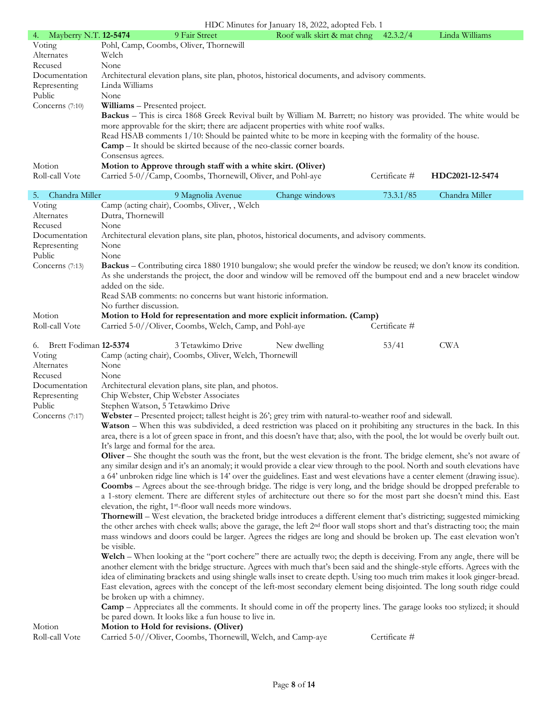| 4. Mayberry N.T. 12-5474 |                   | 9 Fair Street                                                                | Roof walk skirt & mat chng                                                                                                                                                                                       | 42.3.2/4      | Linda Williams  |
|--------------------------|-------------------|------------------------------------------------------------------------------|------------------------------------------------------------------------------------------------------------------------------------------------------------------------------------------------------------------|---------------|-----------------|
| Voting                   |                   | Pohl, Camp, Coombs, Oliver, Thornewill                                       |                                                                                                                                                                                                                  |               |                 |
| Alternates               | Welch             |                                                                              |                                                                                                                                                                                                                  |               |                 |
| Recused                  | None              |                                                                              |                                                                                                                                                                                                                  |               |                 |
| Documentation            |                   |                                                                              | Architectural elevation plans, site plan, photos, historical documents, and advisory comments.                                                                                                                   |               |                 |
| Representing             | Linda Williams    |                                                                              |                                                                                                                                                                                                                  |               |                 |
| Public                   | None              |                                                                              |                                                                                                                                                                                                                  |               |                 |
| Concerns $(7:10)$        |                   | <b>Williams</b> – Presented project.                                         |                                                                                                                                                                                                                  |               |                 |
|                          |                   |                                                                              | <b>Backus</b> – This is circa 1868 Greek Revival built by William M. Barrett; no history was provided. The white would be<br>more approvable for the skirt; there are adjacent properties with white roof walks. |               |                 |
|                          |                   |                                                                              | Read HSAB comments 1/10: Should be painted white to be more in keeping with the formality of the house.                                                                                                          |               |                 |
|                          |                   |                                                                              |                                                                                                                                                                                                                  |               |                 |
|                          |                   | <b>Camp</b> – It should be skirted because of the neo-classic corner boards. |                                                                                                                                                                                                                  |               |                 |
|                          | Consensus agrees. |                                                                              |                                                                                                                                                                                                                  |               |                 |
| Motion                   |                   | Motion to Approve through staff with a white skirt. (Oliver)                 |                                                                                                                                                                                                                  |               |                 |
| Roll-call Vote           |                   | Carried 5-0//Camp, Coombs, Thornewill, Oliver, and Pohl-aye                  |                                                                                                                                                                                                                  | Certificate # | HDC2021-12-5474 |

| Chandra Miller<br>5.     | 9 Magnolia Avenue                                                                                                                                                                                                                                                                                                               | Change windows | 73.3.1/85     | Chandra Miller |
|--------------------------|---------------------------------------------------------------------------------------------------------------------------------------------------------------------------------------------------------------------------------------------------------------------------------------------------------------------------------|----------------|---------------|----------------|
| Voting                   | Camp (acting chair), Coombs, Oliver, , Welch                                                                                                                                                                                                                                                                                    |                |               |                |
| Alternates               | Dutra, Thornewill                                                                                                                                                                                                                                                                                                               |                |               |                |
| Recused                  | None                                                                                                                                                                                                                                                                                                                            |                |               |                |
| Documentation            | Architectural elevation plans, site plan, photos, historical documents, and advisory comments.                                                                                                                                                                                                                                  |                |               |                |
| Representing             | None                                                                                                                                                                                                                                                                                                                            |                |               |                |
| Public                   | None                                                                                                                                                                                                                                                                                                                            |                |               |                |
| Concerns (7:13)          | Backus – Contributing circa 1880 1910 bungalow; she would prefer the window be reused; we don't know its condition.<br>As she understands the project, the door and window will be removed off the bumpout end and a new bracelet window<br>added on the side.<br>Read SAB comments: no concerns but want historic information. |                |               |                |
|                          | No further discussion.                                                                                                                                                                                                                                                                                                          |                |               |                |
| Motion                   | Motion to Hold for representation and more explicit information. (Camp)                                                                                                                                                                                                                                                         |                |               |                |
| Roll-call Vote           | Carried 5-0//Oliver, Coombs, Welch, Camp, and Pohl-aye                                                                                                                                                                                                                                                                          |                | Certificate # |                |
|                          |                                                                                                                                                                                                                                                                                                                                 |                |               |                |
| 6. Brett Fodiman 12-5374 | 3 Tetawkimo Drive                                                                                                                                                                                                                                                                                                               | New dwelling   | 53/41         | <b>CWA</b>     |
| Voting                   | Camp (acting chair), Coombs, Oliver, Welch, Thornewill                                                                                                                                                                                                                                                                          |                |               |                |
| Alternates               | None                                                                                                                                                                                                                                                                                                                            |                |               |                |
| Recused<br>Documentation | None                                                                                                                                                                                                                                                                                                                            |                |               |                |
| Representing             | Architectural elevation plans, site plan, and photos.<br>Chip Webster, Chip Webster Associates                                                                                                                                                                                                                                  |                |               |                |
| Public                   | Stephen Watson, 5 Tetawkimo Drive                                                                                                                                                                                                                                                                                               |                |               |                |
| Concerns $(7:17)$        | Webster - Presented project; tallest height is 26'; grey trim with natural-to-weather roof and sidewall.                                                                                                                                                                                                                        |                |               |                |
|                          | Watson - When this was subdivided, a deed restriction was placed on it prohibiting any structures in the back. In this                                                                                                                                                                                                          |                |               |                |
|                          | area, there is a lot of green space in front, and this doesn't have that; also, with the pool, the lot would be overly built out.                                                                                                                                                                                               |                |               |                |
|                          | It's large and formal for the area.                                                                                                                                                                                                                                                                                             |                |               |                |
|                          | Oliver – She thought the south was the front, but the west elevation is the front. The bridge element, she's not aware of                                                                                                                                                                                                       |                |               |                |
|                          | any similar design and it's an anomaly; it would provide a clear view through to the pool. North and south elevations have                                                                                                                                                                                                      |                |               |                |
|                          | a 64' unbroken ridge line which is 14' over the guidelines. East and west elevations have a center element (drawing issue).                                                                                                                                                                                                     |                |               |                |
|                          | <b>Coombs</b> – Agrees about the see-through bridge. The ridge is very long, and the bridge should be dropped preferable to                                                                                                                                                                                                     |                |               |                |
|                          | a 1-story element. There are different styles of architecture out there so for the most part she doesn't mind this. East                                                                                                                                                                                                        |                |               |                |
|                          | elevation, the right, 1 <sup>st</sup> -floor wall needs more windows.                                                                                                                                                                                                                                                           |                |               |                |
|                          | Thornewill – West elevation, the bracketed bridge introduces a different element that's districting; suggested mimicking                                                                                                                                                                                                        |                |               |                |
|                          | the other arches with cheek walls; above the garage, the left 2 <sup>nd</sup> floor wall stops short and that's distracting too; the main                                                                                                                                                                                       |                |               |                |
|                          | mass windows and doors could be larger. Agrees the ridges are long and should be broken up. The east elevation won't                                                                                                                                                                                                            |                |               |                |
|                          | be visible.                                                                                                                                                                                                                                                                                                                     |                |               |                |
|                          | Welch – When looking at the "port cochere" there are actually two; the depth is deceiving. From any angle, there will be                                                                                                                                                                                                        |                |               |                |
|                          | another element with the bridge structure. Agrees with much that's been said and the shingle-style efforts. Agrees with the                                                                                                                                                                                                     |                |               |                |
|                          | idea of eliminating brackets and using shingle walls inset to create depth. Using too much trim makes it look ginger-bread.<br>East elevation, agrees with the concept of the left-most secondary element being disjointed. The long south ridge could                                                                          |                |               |                |
|                          | be broken up with a chimney.                                                                                                                                                                                                                                                                                                    |                |               |                |
|                          | <b>Camp</b> – Appreciates all the comments. It should come in off the property lines. The garage looks too stylized; it should                                                                                                                                                                                                  |                |               |                |
|                          | be pared down. It looks like a fun house to live in.                                                                                                                                                                                                                                                                            |                |               |                |
| Motion                   | Motion to Hold for revisions. (Oliver)                                                                                                                                                                                                                                                                                          |                |               |                |
| Roll-call Vote           | Carried 5-0//Oliver, Coombs, Thornewill, Welch, and Camp-aye                                                                                                                                                                                                                                                                    |                | Certificate # |                |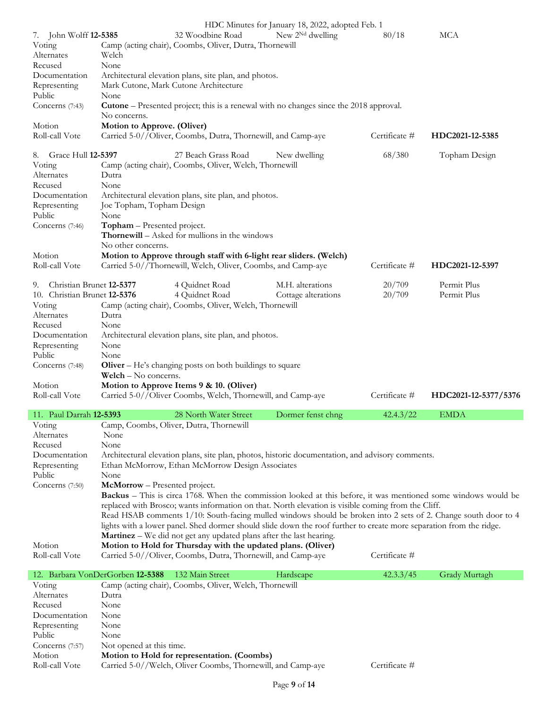|                                | HDC Minutes for January 18, 2022, adopted Feb. 1                                                                      |                       |               |                      |
|--------------------------------|-----------------------------------------------------------------------------------------------------------------------|-----------------------|---------------|----------------------|
|                                |                                                                                                                       |                       |               |                      |
| 7. John Wolff <b>12-5385</b>   | 32 Woodbine Road                                                                                                      | New $2^{Nd}$ dwelling | 80/18         | MCA                  |
| Voting                         | Camp (acting chair), Coombs, Oliver, Dutra, Thornewill                                                                |                       |               |                      |
| Alternates                     | Welch                                                                                                                 |                       |               |                      |
| Recused                        | None                                                                                                                  |                       |               |                      |
| Documentation                  | Architectural elevation plans, site plan, and photos.                                                                 |                       |               |                      |
| Representing                   | Mark Cutone, Mark Cutone Architecture                                                                                 |                       |               |                      |
|                                |                                                                                                                       |                       |               |                      |
| Public                         | None                                                                                                                  |                       |               |                      |
| Concerns (7:43)                | <b>Cutone</b> – Presented project; this is a renewal with no changes since the 2018 approval.                         |                       |               |                      |
|                                | No concerns.                                                                                                          |                       |               |                      |
| Motion                         | Motion to Approve. (Oliver)                                                                                           |                       |               |                      |
| Roll-call Vote                 | Carried 5-0//Oliver, Coombs, Dutra, Thornewill, and Camp-aye                                                          |                       | Certificate # | HDC2021-12-5385      |
|                                |                                                                                                                       |                       |               |                      |
|                                |                                                                                                                       |                       |               |                      |
| Grace Hull 12-5397<br>8.       | 27 Beach Grass Road                                                                                                   | New dwelling          | 68/380        | Topham Design        |
| Voting                         | Camp (acting chair), Coombs, Oliver, Welch, Thornewill                                                                |                       |               |                      |
| Alternates                     | Dutra                                                                                                                 |                       |               |                      |
| Recused                        | None                                                                                                                  |                       |               |                      |
| Documentation                  | Architectural elevation plans, site plan, and photos.                                                                 |                       |               |                      |
|                                | Joe Topham, Topham Design                                                                                             |                       |               |                      |
| Representing                   |                                                                                                                       |                       |               |                      |
| Public                         | None                                                                                                                  |                       |               |                      |
| Concerns (7:46)                | Topham - Presented project.                                                                                           |                       |               |                      |
|                                | Thornewill - Asked for mullions in the windows                                                                        |                       |               |                      |
|                                | No other concerns.                                                                                                    |                       |               |                      |
|                                |                                                                                                                       |                       |               |                      |
| Motion                         | Motion to Approve through staff with 6-light rear sliders. (Welch)                                                    |                       |               |                      |
| Roll-call Vote                 | Carried 5-0//Thornewill, Welch, Oliver, Coombs, and Camp-aye                                                          |                       | Certificate # | HDC2021-12-5397      |
|                                |                                                                                                                       |                       |               |                      |
| Christian Brunet 12-5377<br>9. | 4 Quidnet Road                                                                                                        | M.H. alterations      | 20/709        | Permit Plus          |
| 10. Christian Brunet 12-5376   | 4 Quidnet Road                                                                                                        | Cottage alterations   | 20/709        | Permit Plus          |
| Voting                         | Camp (acting chair), Coombs, Oliver, Welch, Thornewill                                                                |                       |               |                      |
|                                |                                                                                                                       |                       |               |                      |
| Alternates                     | Dutra                                                                                                                 |                       |               |                      |
|                                |                                                                                                                       |                       |               |                      |
| Recused                        | None                                                                                                                  |                       |               |                      |
| Documentation                  |                                                                                                                       |                       |               |                      |
|                                | Architectural elevation plans, site plan, and photos.                                                                 |                       |               |                      |
| Representing                   | None                                                                                                                  |                       |               |                      |
| Public                         | None                                                                                                                  |                       |               |                      |
| Concerns (7:48)                | <b>Oliver</b> – He's changing posts on both buildings to square                                                       |                       |               |                      |
|                                | Welch - No concerns.                                                                                                  |                       |               |                      |
| Motion                         | Motion to Approve Items 9 & 10. (Oliver)                                                                              |                       |               |                      |
| Roll-call Vote                 | Carried 5-0//Oliver Coombs, Welch, Thornewill, and Camp-aye                                                           |                       | Certificate # |                      |
|                                |                                                                                                                       |                       |               | HDC2021-12-5377/5376 |
|                                |                                                                                                                       |                       |               |                      |
| 11. Paul Darrah 12-5393        | 28 North Water Street                                                                                                 | Dormer fenst chng     | 42.4.3/22     | <b>EMDA</b>          |
| Voting                         | Camp, Coombs, Oliver, Dutra, Thornewill                                                                               |                       |               |                      |
| Alternates                     | None                                                                                                                  |                       |               |                      |
| Recused                        | None                                                                                                                  |                       |               |                      |
| Documentation                  | Architectural elevation plans, site plan, photos, historic documentation, and advisory comments.                      |                       |               |                      |
|                                |                                                                                                                       |                       |               |                      |
| Representing                   | Ethan McMorrow, Ethan McMorrow Design Associates                                                                      |                       |               |                      |
| Public                         | None                                                                                                                  |                       |               |                      |
| Concerns (7:50)                | McMorrow - Presented project.                                                                                         |                       |               |                      |
|                                | <b>Backus</b> – This is circa 1768. When the commission looked at this before, it was mentioned some windows would be |                       |               |                      |
|                                | replaced with Brosco; wants information on that. North elevation is visible coming from the Cliff.                    |                       |               |                      |
|                                |                                                                                                                       |                       |               |                      |
|                                | Read HSAB comments 1/10: South-facing mulled windows should be broken into 2 sets of 2. Change south door to 4        |                       |               |                      |
|                                | lights with a lower panel. Shed dormer should slide down the roof further to create more separation from the ridge.   |                       |               |                      |
|                                | <b>Martinez</b> – We did not get any updated plans after the last hearing.                                            |                       |               |                      |
| Motion                         | Motion to Hold for Thursday with the updated plans. (Oliver)                                                          |                       |               |                      |
| Roll-call Vote                 | Carried 5-0//Oliver, Coombs, Dutra, Thornewill, and Camp-aye                                                          |                       | Certificate # |                      |
|                                |                                                                                                                       |                       |               |                      |
|                                | 12. Barbara VonDerGorben 12-5388<br>132 Main Street                                                                   | Hardscape             | 42.3.3/45     | Grady Murtagh        |
| Voting                         | Camp (acting chair), Coombs, Oliver, Welch, Thornewill                                                                |                       |               |                      |
|                                | Dutra                                                                                                                 |                       |               |                      |
| Alternates                     |                                                                                                                       |                       |               |                      |
| Recused                        | None                                                                                                                  |                       |               |                      |
| Documentation                  | None                                                                                                                  |                       |               |                      |
| Representing                   | None                                                                                                                  |                       |               |                      |
| Public                         | None                                                                                                                  |                       |               |                      |
| Concerns (7:57)                | Not opened at this time.                                                                                              |                       |               |                      |
| Motion                         |                                                                                                                       |                       |               |                      |
| Roll-call Vote                 | Motion to Hold for representation. (Coombs)<br>Carried 5-0//Welch, Oliver Coombs, Thornewill, and Camp-aye            |                       | Certificate # |                      |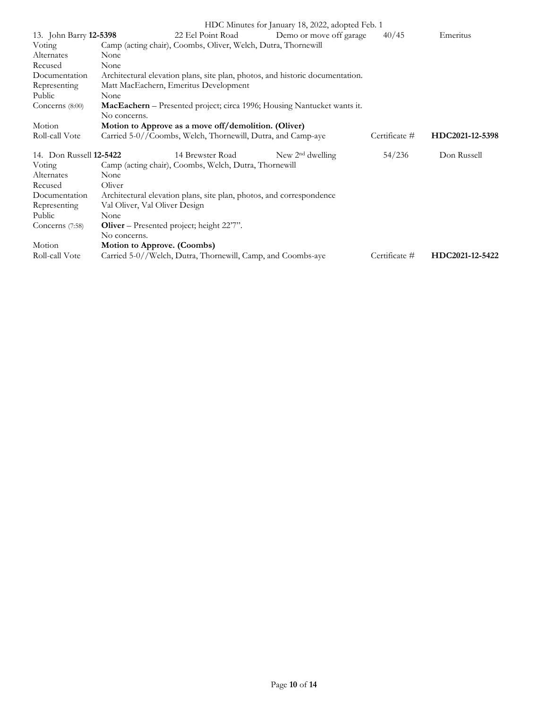|                                |                               |                                                                      | HDC Minutes for January 18, 2022, adopted Feb. 1                              |               |                 |
|--------------------------------|-------------------------------|----------------------------------------------------------------------|-------------------------------------------------------------------------------|---------------|-----------------|
| 13. John Barry 12-5398         |                               | 22 Eel Point Road                                                    | Demo or move off garage                                                       | 40/45         | Emeritus        |
| Voting                         |                               | Camp (acting chair), Coombs, Oliver, Welch, Dutra, Thornewill        |                                                                               |               |                 |
| Alternates                     | None                          |                                                                      |                                                                               |               |                 |
| Recused                        | None                          |                                                                      |                                                                               |               |                 |
| Documentation                  |                               |                                                                      | Architectural elevation plans, site plan, photos, and historic documentation. |               |                 |
| Representing                   |                               | Matt MacEachern, Emeritus Development                                |                                                                               |               |                 |
| Public                         | None                          |                                                                      |                                                                               |               |                 |
| Concerns $(8:00)$              |                               |                                                                      | MacEachern - Presented project; circa 1996; Housing Nantucket wants it.       |               |                 |
|                                | No concerns.                  |                                                                      |                                                                               |               |                 |
| Motion                         |                               | Motion to Approve as a move off/demolition. (Oliver)                 |                                                                               |               |                 |
| Roll-call Vote                 |                               | Carried 5-0//Coombs, Welch, Thornewill, Dutra, and Camp-aye          |                                                                               | Certificate # | HDC2021-12-5398 |
| 14. Don Russell <b>12-5422</b> |                               | 14 Brewster Road                                                     | New $2nd$ dwelling                                                            | 54/236        | Don Russell     |
| Voting                         |                               | Camp (acting chair), Coombs, Welch, Dutra, Thornewill                |                                                                               |               |                 |
| Alternates                     | None                          |                                                                      |                                                                               |               |                 |
| Recused                        | Oliver                        |                                                                      |                                                                               |               |                 |
| Documentation                  |                               | Architectural elevation plans, site plan, photos, and correspondence |                                                                               |               |                 |
| Representing                   | Val Oliver, Val Oliver Design |                                                                      |                                                                               |               |                 |
| Public                         | None                          |                                                                      |                                                                               |               |                 |
| Concerns $(7:58)$              |                               | Oliver – Presented project; height 22'7".                            |                                                                               |               |                 |
|                                | No concerns.                  |                                                                      |                                                                               |               |                 |
| Motion                         |                               | Motion to Approve. (Coombs)                                          |                                                                               |               |                 |
| Roll-call Vote                 |                               | Carried 5-0//Welch, Dutra, Thornewill, Camp, and Coombs-aye          |                                                                               | Certificate # | HDC2021-12-5422 |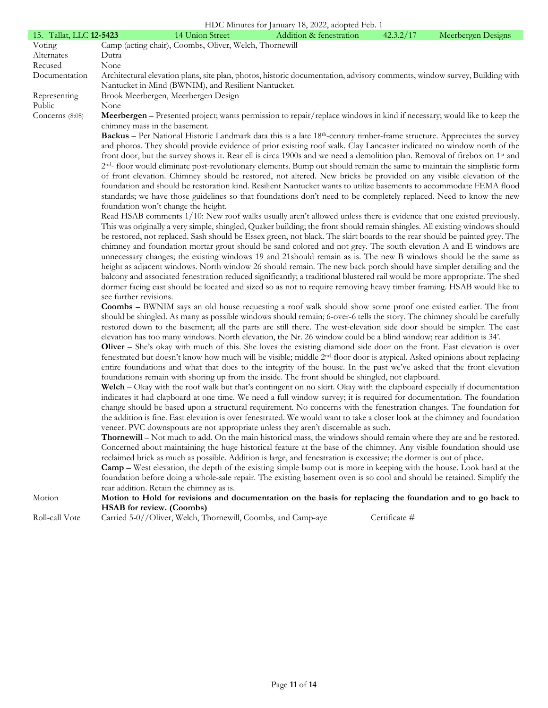|                                | HDC Minutes for January 18, 2022, adopted Feb. 1                                                                                                                                                                                            |
|--------------------------------|---------------------------------------------------------------------------------------------------------------------------------------------------------------------------------------------------------------------------------------------|
| 15. Tallat, LLC <b>12-5423</b> | Addition & fenestration<br>42.3.2/17<br>Meerbergen Designs<br>14 Union Street                                                                                                                                                               |
| Voting                         | Camp (acting chair), Coombs, Oliver, Welch, Thornewill                                                                                                                                                                                      |
| Alternates                     | Dutra                                                                                                                                                                                                                                       |
| Recused                        | None                                                                                                                                                                                                                                        |
| Documentation                  | Architectural elevation plans, site plan, photos, historic documentation, advisory comments, window survey, Building with<br>Nantucket in Mind (BWNIM), and Resilient Nantucket.                                                            |
| Representing                   | Brook Meerbergen, Meerbergen Design                                                                                                                                                                                                         |
| Public                         | None                                                                                                                                                                                                                                        |
| Concerns (8:05)                | Meerbergen – Presented project; wants permission to repair/replace windows in kind if necessary; would like to keep the<br>chimney mass in the basement.                                                                                    |
|                                | Backus – Per National Historic Landmark data this is a late 18 <sup>th</sup> -century timber-frame structure. Appreciates the survey                                                                                                        |
|                                | and photos. They should provide evidence of prior existing roof walk. Clay Lancaster indicated no window north of the                                                                                                                       |
|                                | front door, but the survey shows it. Rear ell is circa 1900s and we need a demolition plan. Removal of firebox on 1 <sup>st</sup> and                                                                                                       |
|                                | 2 <sup>nd</sup> -floor would eliminate post-revolutionary elements. Bump out should remain the same to maintain the simplistic form                                                                                                         |
|                                | of front elevation. Chimney should be restored, not altered. New bricks be provided on any visible elevation of the<br>foundation and should be restoration kind. Resilient Nantucket wants to utilize basements to accommodate FEMA flood  |
|                                | standards; we have those guidelines so that foundations don't need to be completely replaced. Need to know the new                                                                                                                          |
|                                | foundation won't change the height.                                                                                                                                                                                                         |
|                                | Read HSAB comments 1/10: New roof walks usually aren't allowed unless there is evidence that one existed previously.                                                                                                                        |
|                                | This was originally a very simple, shingled, Quaker building; the front should remain shingles. All existing windows should                                                                                                                 |
|                                | be restored, not replaced. Sash should be Essex green, not black. The skirt boards to the rear should be painted grey. The                                                                                                                  |
|                                | chimney and foundation mortar grout should be sand colored and not grey. The south elevation A and E windows are                                                                                                                            |
|                                | unnecessary changes; the existing windows 19 and 21 should remain as is. The new B windows should be the same as                                                                                                                            |
|                                | height as adjacent windows. North window 26 should remain. The new back porch should have simpler detailing and the                                                                                                                         |
|                                | balcony and associated fenestration reduced significantly; a traditional blustered rail would be more appropriate. The shed                                                                                                                 |
|                                | dormer facing east should be located and sized so as not to require removing heavy timber framing. HSAB would like to<br>see further revisions.                                                                                             |
|                                | <b>Coombs</b> – BWNIM says an old house requesting a roof walk should show some proof one existed earlier. The front                                                                                                                        |
|                                | should be shingled. As many as possible windows should remain; 6-over-6 tells the story. The chimney should be carefully                                                                                                                    |
|                                | restored down to the basement; all the parts are still there. The west-elevation side door should be simpler. The east                                                                                                                      |
|                                | elevation has too many windows. North elevation, the Nr. 26 window could be a blind window; rear addition is 34'.                                                                                                                           |
|                                | Oliver – She's okay with much of this. She loves the existing diamond side door on the front. East elevation is over                                                                                                                        |
|                                | fenestrated but doesn't know how much will be visible; middle 2 <sup>nd</sup> -floor door is atypical. Asked opinions about replacing                                                                                                       |
|                                | entire foundations and what that does to the integrity of the house. In the past we've asked that the front elevation                                                                                                                       |
|                                | foundations remain with shoring up from the inside. The front should be shingled, not clapboard.                                                                                                                                            |
|                                | Welch - Okay with the roof walk but that's contingent on no skirt. Okay with the clapboard especially if documentation                                                                                                                      |
|                                | indicates it had clapboard at one time. We need a full window survey; it is required for documentation. The foundation                                                                                                                      |
|                                | change should be based upon a structural requirement. No concerns with the fenestration changes. The foundation for                                                                                                                         |
|                                | the addition is fine. East elevation is over fenestrated. We would want to take a closer look at the chimney and foundation                                                                                                                 |
|                                | veneer. PVC downspouts are not appropriate unless they aren't discernable as such.                                                                                                                                                          |
|                                | Thornewill - Not much to add. On the main historical mass, the windows should remain where they are and be restored.                                                                                                                        |
|                                | Concerned about maintaining the huge historical feature at the base of the chimney. Any visible foundation should use<br>reclaimed brick as much as possible. Addition is large, and fenestration is excessive; the dormer is out of place. |
|                                | <b>Camp</b> – West elevation, the depth of the existing simple bump out is more in keeping with the house. Look hard at the                                                                                                                 |
|                                | foundation before doing a whole-sale repair. The existing basement oven is so cool and should be retained. Simplify the                                                                                                                     |
|                                | rear addition. Retain the chimney as is.                                                                                                                                                                                                    |
| Motion                         | Motion to Hold for revisions and documentation on the basis for replacing the foundation and to go back to                                                                                                                                  |
|                                | <b>HSAB</b> for review. (Coombs)                                                                                                                                                                                                            |
| Roll-call Vote                 | Certificate #<br>Carried 5-0//Oliver, Welch, Thornewill, Coombs, and Camp-aye                                                                                                                                                               |
|                                |                                                                                                                                                                                                                                             |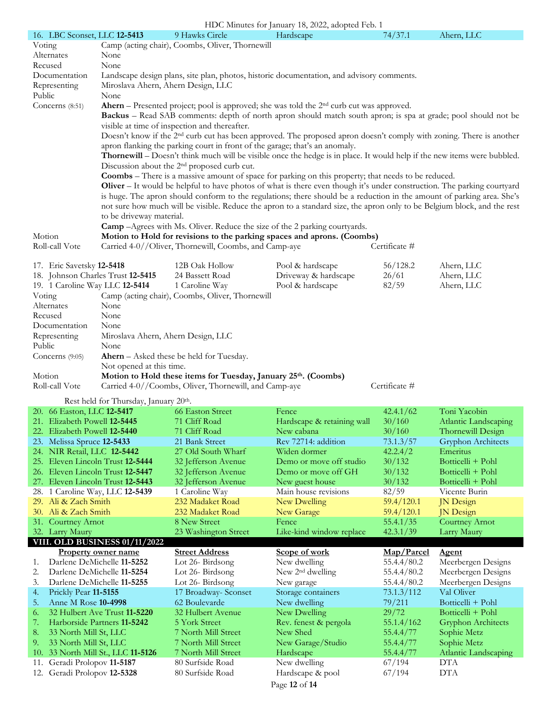|                                                           |                                                    |                                                                                                                         | HDC Minutes for January 18, 2022, adopted Feb. 1                                                                                                                                                                           |                        |                                     |
|-----------------------------------------------------------|----------------------------------------------------|-------------------------------------------------------------------------------------------------------------------------|----------------------------------------------------------------------------------------------------------------------------------------------------------------------------------------------------------------------------|------------------------|-------------------------------------|
| 16. LBC Sconset, LLC 12-5413                              |                                                    | 9 Hawks Circle                                                                                                          | Hardscape                                                                                                                                                                                                                  | 74/37.1                | Ahern, LLC                          |
| Voting                                                    |                                                    | Camp (acting chair), Coombs, Oliver, Thornewill                                                                         |                                                                                                                                                                                                                            |                        |                                     |
| Alternates                                                | None                                               |                                                                                                                         |                                                                                                                                                                                                                            |                        |                                     |
| Recused                                                   | None                                               |                                                                                                                         |                                                                                                                                                                                                                            |                        |                                     |
| Documentation                                             |                                                    |                                                                                                                         | Landscape design plans, site plan, photos, historic documentation, and advisory comments.                                                                                                                                  |                        |                                     |
| Representing                                              | Miroslava Ahern, Ahern Design, LLC                 |                                                                                                                         |                                                                                                                                                                                                                            |                        |                                     |
| Public                                                    | None                                               |                                                                                                                         |                                                                                                                                                                                                                            |                        |                                     |
| Concerns (8:51)                                           |                                                    |                                                                                                                         | <b>Ahern</b> – Presented project; pool is approved; she was told the $2nd$ curb cut was approved.<br><b>Backus</b> – Read SAB comments: depth of north apron should match south apron; is spa at grade; pool should not be |                        |                                     |
|                                                           |                                                    | visible at time of inspection and thereafter.                                                                           |                                                                                                                                                                                                                            |                        |                                     |
|                                                           |                                                    |                                                                                                                         | Doesn't know if the 2 <sup>nd</sup> curb cut has been approved. The proposed apron doesn't comply with zoning. There is another                                                                                            |                        |                                     |
|                                                           |                                                    | apron flanking the parking court in front of the garage; that's an anomaly.                                             |                                                                                                                                                                                                                            |                        |                                     |
|                                                           |                                                    |                                                                                                                         | Thornewill – Doesn't think much will be visible once the hedge is in place. It would help if the new items were bubbled.                                                                                                   |                        |                                     |
|                                                           |                                                    | Discussion about the 2 <sup>nd</sup> proposed curb cut.                                                                 |                                                                                                                                                                                                                            |                        |                                     |
|                                                           |                                                    |                                                                                                                         | Coombs - There is a massive amount of space for parking on this property; that needs to be reduced.                                                                                                                        |                        |                                     |
|                                                           |                                                    |                                                                                                                         | Oliver $-$ It would be helpful to have photos of what is there even though it's under construction. The parking courtyard                                                                                                  |                        |                                     |
|                                                           |                                                    |                                                                                                                         | is huge. The apron should conform to the regulations; there should be a reduction in the amount of parking area. She's                                                                                                     |                        |                                     |
|                                                           |                                                    |                                                                                                                         | not sure how much will be visible. Reduce the apron to a standard size, the apron only to be Belgium block, and the rest                                                                                                   |                        |                                     |
|                                                           | to be driveway material.                           |                                                                                                                         |                                                                                                                                                                                                                            |                        |                                     |
|                                                           |                                                    |                                                                                                                         | <b>Camp</b> - Agrees with Ms. Oliver. Reduce the size of the 2 parking courtyards.                                                                                                                                         |                        |                                     |
| Motion                                                    |                                                    |                                                                                                                         | Motion to Hold for revisions to the parking spaces and aprons. (Coombs)                                                                                                                                                    |                        |                                     |
| Roll-call Vote                                            |                                                    | Carried 4-0//Oliver, Thornewill, Coombs, and Camp-aye                                                                   |                                                                                                                                                                                                                            | Certificate #          |                                     |
|                                                           |                                                    |                                                                                                                         |                                                                                                                                                                                                                            |                        |                                     |
| 17. Eric Savetsky 12-5418                                 |                                                    | 12B Oak Hollow                                                                                                          | Pool & hardscape                                                                                                                                                                                                           | 56/128.2               | Ahern, LLC                          |
| 18. Johnson Charles Trust 12-5415                         |                                                    | 24 Bassett Road                                                                                                         | Driveway & hardscape                                                                                                                                                                                                       | 26/61                  | Ahern, LLC                          |
| 19. 1 Caroline Way LLC 12-5414                            |                                                    | 1 Caroline Way                                                                                                          | Pool & hardscape                                                                                                                                                                                                           | 82/59                  | Ahern, LLC                          |
| Voting                                                    |                                                    | Camp (acting chair), Coombs, Oliver, Thornewill                                                                         |                                                                                                                                                                                                                            |                        |                                     |
| Alternates                                                | None                                               |                                                                                                                         |                                                                                                                                                                                                                            |                        |                                     |
| Recused<br>Documentation                                  | None<br>None                                       |                                                                                                                         |                                                                                                                                                                                                                            |                        |                                     |
| Representing                                              | Miroslava Ahern, Ahern Design, LLC                 |                                                                                                                         |                                                                                                                                                                                                                            |                        |                                     |
|                                                           |                                                    |                                                                                                                         |                                                                                                                                                                                                                            |                        |                                     |
|                                                           |                                                    |                                                                                                                         |                                                                                                                                                                                                                            |                        |                                     |
| Public                                                    | None                                               |                                                                                                                         |                                                                                                                                                                                                                            |                        |                                     |
| Concerns $(9:05)$                                         |                                                    | Ahern - Asked these be held for Tuesday.                                                                                |                                                                                                                                                                                                                            |                        |                                     |
| Motion                                                    | Not opened at this time.                           |                                                                                                                         |                                                                                                                                                                                                                            |                        |                                     |
| Roll-call Vote                                            |                                                    | Motion to Hold these items for Tuesday, January 25th. (Coombs)<br>Carried 4-0//Coombs, Oliver, Thornewill, and Camp-aye |                                                                                                                                                                                                                            | Certificate #          |                                     |
|                                                           |                                                    |                                                                                                                         |                                                                                                                                                                                                                            |                        |                                     |
|                                                           | Rest held for Thursday, January 20 <sup>th</sup> . |                                                                                                                         |                                                                                                                                                                                                                            |                        |                                     |
| 20. 66 Easton, LLC 12-5417                                |                                                    | <b>66 Easton Street</b>                                                                                                 | Fence                                                                                                                                                                                                                      | 42.4.1/62              | Toni Yacobin                        |
| 21. Elizabeth Powell 12-5445                              |                                                    | 71 Cliff Road                                                                                                           | Hardscape & retaining wall 30/160                                                                                                                                                                                          |                        | Atlantic Landscaping                |
| 22. Elizabeth Powell 12-5440                              |                                                    | 71 Cliff Road                                                                                                           | New cabana                                                                                                                                                                                                                 | 30/160                 | Thornewill Design                   |
| 23. Melissa Spruce 12-5433<br>24. NIR Retail, LLC 12-5442 |                                                    | 21 Bank Street<br>27 Old South Wharf                                                                                    | Rev 72714: addition<br>Widen dormer                                                                                                                                                                                        | 73.1.3/57<br>42.2.4/2  | Gryphon Architects<br>Emeritus      |
| 25. Eleven Lincoln Trust 12-5444                          |                                                    | 32 Jefferson Avenue                                                                                                     | Demo or move off studio                                                                                                                                                                                                    | 30/132                 | Botticelli + Pohl                   |
| 26. Eleven Lincoln Trust 12-5447                          |                                                    | 32 Jefferson Avenue                                                                                                     | Demo or move off GH                                                                                                                                                                                                        | 30/132                 | Botticelli + Pohl                   |
| 27. Eleven Lincoln Trust 12-5443                          |                                                    | 32 Jefferson Avenue                                                                                                     | New guest house                                                                                                                                                                                                            | 30/132                 | Botticelli + Pohl                   |
| 28. 1 Caroline Way, LLC 12-5439                           |                                                    | 1 Caroline Way                                                                                                          | Main house revisions                                                                                                                                                                                                       | 82/59                  | Vicente Burin                       |
| 29. Ali & Zach Smith                                      |                                                    | 232 Madaket Road                                                                                                        | New Dwelling                                                                                                                                                                                                               | 59.4/120.1             | JN Design                           |
| 30. Ali & Zach Smith                                      |                                                    | 232 Madaket Road                                                                                                        | New Garage                                                                                                                                                                                                                 | 59.4/120.1             | <b>JN</b> Design                    |
| 31. Courtney Arnot                                        |                                                    | 8 New Street                                                                                                            | Fence                                                                                                                                                                                                                      | 55.4.1/35              | <b>Courtney Arnot</b>               |
| 32. Larry Maury                                           |                                                    | 23 Washington Street                                                                                                    | Like-kind window replace                                                                                                                                                                                                   | 42.3.1/39              | Larry Maury                         |
|                                                           | VIII. OLD BUSINESS 01/11/2022                      |                                                                                                                         |                                                                                                                                                                                                                            |                        |                                     |
|                                                           | <b>Property owner name</b>                         | <b>Street Address</b>                                                                                                   | Scope of work                                                                                                                                                                                                              | Map/Parcel             | <b>Agent</b>                        |
| 1.                                                        | Darlene DeMichelle 11-5252                         | Lot 26-Birdsong                                                                                                         | New dwelling                                                                                                                                                                                                               | 55.4.4/80.2            | Meerbergen Designs                  |
| 2.                                                        | Darlene DeMichelle 11-5254                         | Lot 26-Birdsong                                                                                                         | New 2 <sup>nd</sup> dwelling                                                                                                                                                                                               | 55.4.4/80.2            | Meerbergen Designs                  |
| 3.                                                        | Darlene DeMichelle 11-5255                         | Lot 26-Birdsong                                                                                                         | New garage                                                                                                                                                                                                                 | 55.4.4/80.2            | Meerbergen Designs                  |
| 4.<br>Prickly Pear 11-5155                                |                                                    | 17 Broadway- Sconset                                                                                                    | Storage containers                                                                                                                                                                                                         | 73.1.3/112             | Val Oliver                          |
| 5.<br>Anne M Rose 10-4998                                 |                                                    | 62 Boulevarde                                                                                                           | New dwelling                                                                                                                                                                                                               | 79/211                 | Botticelli + Pohl                   |
| 6.                                                        | 32 Hulbert Ave Trust 11-5220                       | 32 Hulbert Avenue                                                                                                       | New Dwelling                                                                                                                                                                                                               | 29/72                  | Botticelli + Pohl                   |
| 7.                                                        | Harborside Partners 11-5242                        | 5 York Street                                                                                                           | Rev. fenest & pergola                                                                                                                                                                                                      | 55.1.4/162             | <b>Gryphon Architects</b>           |
| 8.<br>33 North Mill St, LLC<br>9.                         |                                                    | 7 North Mill Street                                                                                                     | New Shed                                                                                                                                                                                                                   | 55.4.4/77              | Sophie Metz                         |
| 33 North Mill St, LLC<br>10.                              |                                                    | 7 North Mill Street<br>7 North Mill Street                                                                              | New Garage/Studio<br>Hardscape                                                                                                                                                                                             | 55.4.4/77<br>55.4.4/77 | Sophie Metz<br>Atlantic Landscaping |
| 11.                                                       | 33 North Mill St., LLC 11-5126                     | 80 Surfside Road                                                                                                        | New dwelling                                                                                                                                                                                                               | 67/194                 | <b>DTA</b>                          |
| Geradi Prolopov 11-5187<br>12. Geradi Prolopov 12-5328    |                                                    | 80 Surfside Road                                                                                                        | Hardscape & pool                                                                                                                                                                                                           | 67/194                 | <b>DTA</b>                          |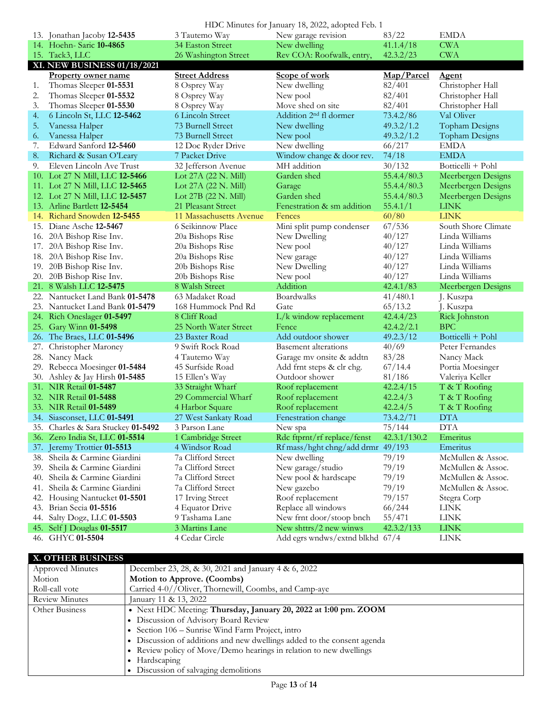|            |                                                   |                                  | HDC Minutes for January 18, 2022, adopted Feb. 1      |                      |                            |
|------------|---------------------------------------------------|----------------------------------|-------------------------------------------------------|----------------------|----------------------------|
|            | 13. Jonathan Jacoby 12-5435                       | 3 Tautemo Way                    | New garage revision                                   | 83/22                | <b>EMDA</b>                |
|            | 14. Hoehn- Saric 10-4865                          | 34 Easton Street                 | New dwelling                                          | 41.1.4/18            | <b>CWA</b>                 |
|            | 15. Tack3, LLC                                    | 26 Washington Street             | Rev COA: Roofwalk, entry,                             | 42.3.2/23            | <b>CWA</b>                 |
|            | XI. NEW BUSINESS 01/18/2021                       |                                  |                                                       |                      |                            |
|            | <b>Property owner name</b>                        | <b>Street Address</b>            | Scope of work                                         | Map/Parcel           | Agent                      |
| 1.         | Thomas Sleeper 01-5531                            | 8 Osprey Way                     | New dwelling                                          | 82/401               | Christopher Hall           |
| 2.         | Thomas Sleeper 01-5532                            | 8 Osprey Way                     | New pool                                              | 82/401               | Christopher Hall           |
| 3.         | Thomas Sleeper 01-5530                            | 8 Osprey Way                     | Move shed on site                                     | 82/401               | Christopher Hall           |
| 4.         | 6 Lincoln St, LLC 12-5462                         | 6 Lincoln Street                 | Addition 2 <sup>nd</sup> fl dormer                    | 73.4.2/86            | Val Oliver                 |
| 5.         | Vanessa Halper                                    | 73 Burnell Street                | New dwelling                                          | 49.3.2/1.2           | Topham Designs             |
| 6.         | Vanessa Halper                                    | 73 Burnell Street                | New pool                                              | 49.3.2/1.2           | Topham Designs             |
| 7.         | Edward Sanford 12-5460                            | 12 Doc Ryder Drive               | New dwelling                                          | 66/217               | <b>EMDA</b>                |
| 8.         | Richard & Susan O'Leary                           | 7 Packet Drive                   | Window change & door rev.                             | 74/18                | <b>EMDA</b>                |
| 9.         | Eleven Lincoln Ave Trust                          | 32 Jefferson Avenue              | MH addition                                           | 30/132               | Botticelli + Pohl          |
|            | 10. Lot 27 N Mill, LLC 12-5466                    | Lot 27A (22 N. Mill)             | Garden shed                                           | 55.4.4/80.3          | Meerbergen Designs         |
|            | 11. Lot 27 N Mill, LLC <b>12-5465</b>             | Lot 27A (22 N. Mill)             | Garage                                                | 55.4.4/80.3          | Meerbergen Designs         |
|            | 12. Lot 27 N Mill, LLC <b>12-5457</b>             | Lot 27B (22 N. Mill)             | Garden shed                                           | 55.4.4/80.3          | Meerbergen Designs         |
|            | 13. Arline Bartlett 12-5454                       | 21 Pleasant Street               | Fenestration & sm addition                            | 55.4.1/1             | <b>LINK</b>                |
|            | 14. Richard Snowden 12-5455                       | 11 Massachusetts Avenue          | Fences                                                | 60/80                | <b>LINK</b>                |
|            | 15. Diane Asche 12-5467                           | 6 Seikinnow Place                | Mini split pump condenser                             | 67/536               | South Shore Climate        |
|            | 16. 20A Bishop Rise Inv.                          | 20a Bishops Rise                 | New Dwelling                                          | 40/127               | Linda Williams             |
|            | 17. 20A Bishop Rise Inv.                          | 20a Bishops Rise                 | New pool                                              | 40/127               | Linda Williams             |
|            | 18. 20A Bishop Rise Inv.                          | 20a Bishops Rise                 | New garage                                            | 40/127               | Linda Williams             |
|            | 19. 20B Bishop Rise Inv.                          | 20b Bishops Rise                 | New Dwelling                                          | 40/127               | Linda Williams             |
|            |                                                   |                                  |                                                       |                      |                            |
|            |                                                   |                                  |                                                       |                      |                            |
|            | 20. 20B Bishop Rise Inv.                          | 20b Bishops Rise                 | New pool                                              | 40/127               | Linda Williams             |
|            | 21. 8 Walsh LLC 12-5475                           | 8 Walsh Street                   | Addition                                              | 42.4.1/83            | Meerbergen Designs         |
|            | 22. Nantucket Land Bank 01-5478                   | 63 Madaket Road                  | <b>Boardwalks</b>                                     | 41/480.1             | J. Kuszpa                  |
|            | 23. Nantucket Land Bank 01-5479                   | 168 Hummock Pnd Rd               | Gate                                                  | 65/13.2              | J. Kuszpa                  |
|            | 24. Rich Oneslager 01-5497                        | 8 Cliff Road                     | L/k window replacement                                | 42.4.4/23            | Rick Johnston              |
|            | 25. Gary Winn 01-5498                             | 25 North Water Street            | Fence                                                 | 42.4.2/2.1           | <b>BPC</b>                 |
|            | 26. The Braes, LLC 01-5496                        | 23 Baxter Road                   | Add outdoor shower                                    | 49.2.3/12            | Botticelli + Pohl          |
| 27.        | Christopher Maroney                               | 9 Swift Rock Road                | <b>Basement</b> alterations                           | 40/69                | Peter Fernandes            |
|            | 28. Nancy Mack                                    | 4 Tautemo Way                    | Garage mv onsite & addtn                              | 83/28                | Nancy Mack                 |
|            | 29. Rebecca Moesinger 01-5484                     | 45 Surfside Road                 | Add frnt steps & clr chg.                             | 67/14.4              | Portia Moesinger           |
|            | 30. Ashley & Jay Hirsh 01-5485                    | 15 Ellen's Way                   | Outdoor shower                                        | 81/186               | Valeriya Keller            |
|            | 31. NIR Retail 01-5487                            | 33 Straight Wharf                | Roof replacement                                      | 42.2.4/15            | T & T Roofing              |
|            | 32. NIR Retail 01-5488                            | 29 Commercial Wharf              | Roof replacement                                      | 42.2.4/3             | T & T Roofing              |
|            | 33. NIR Retail 01-5489                            | 4 Harbor Square                  | Roof replacement                                      | 42.2.4/5             | T & T Roofing              |
|            | 34. Siasconset, LLC 01-5491                       | 27 West Sankaty Road             | Fenestration change                                   | 73.4.2/71            | <b>DTA</b>                 |
|            | 35. Charles & Sara Stuckey 01-5492                | 3 Parson Lane                    | New spa                                               | 75/144               | <b>DTA</b>                 |
|            | 36. Zero India St, LLC 01-5514                    | 1 Cambridge Street               | Rdc ftprnt/rf replace/fenst                           | 42.3.1/130.2         | Emeritus                   |
|            | 37. Jeremy Trottier 01-5513                       | 4 Windsor Road                   | Rf mass/hght chng/add drmr 49/193                     |                      | Emeritus                   |
|            | 38. Sheila & Carmine Giardini                     | 7a Clifford Street               | New dwelling                                          | 79/19                | McMullen & Assoc.          |
|            | 39. Sheila & Carmine Giardini                     | 7a Clifford Street               | New garage/studio                                     | 79/19                | McMullen & Assoc.          |
| 40.        | Sheila & Carmine Giardini                         | 7a Clifford Street               | New pool & hardscape                                  | 79/19                | McMullen & Assoc.          |
| 41.        | Sheila & Carmine Giardini                         | 7a Clifford Street               | New gazebo                                            | 79/19                | McMullen & Assoc.          |
| 42.        | Housing Nantucket 01-5501                         | 17 Irving Street                 | Roof replacement                                      | 79/157               | Stegra Corp                |
| 43.        | Brian Secia 01-5516                               | 4 Equator Drive                  | Replace all windows                                   | 66/244               | LINK                       |
| 44.<br>45. | Salty Dogz, LLC 01-5503<br>Self J Douglas 01-5517 | 9 Tashama Lane<br>3 Martins Lane | New frnt door/stoop bnch<br>New shttrs/ $2$ new winws | 55/471<br>42.3.2/133 | <b>LINK</b><br><b>LINK</b> |

### **X. OTHER BUSINESS**

| <b>Approved Minutes</b> | December 23, 28, & 30, 2021 and January 4 & 6, 2022                     |
|-------------------------|-------------------------------------------------------------------------|
| Motion                  | Motion to Approve. (Coombs)                                             |
| Roll-call vote          | Carried 4-0//Oliver, Thornewill, Coombs, and Camp-aye                   |
| <b>Review Minutes</b>   | January 11 & 13, 2022                                                   |
| Other Business          | • Next HDC Meeting: Thursday, January 20, 2022 at 1:00 pm. ZOOM         |
|                         | • Discussion of Advisory Board Review                                   |
|                         | • Section 106 – Sunrise Wind Farm Project, intro                        |
|                         | • Discussion of additions and new dwellings added to the consent agenda |
|                         | • Review policy of Move/Demo hearings in relation to new dwellings      |
|                         | $\bullet$ Hardscaping                                                   |
|                         | Discussion of salvaging demolitions                                     |